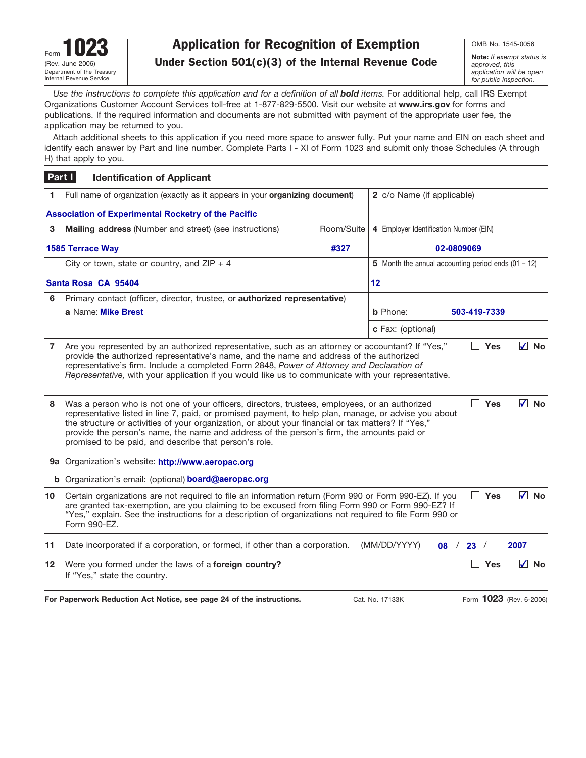

# Form **1023 Note:** *If exemption* **1023 Note:** *If exemption* **Note:** *If exempt status is*<br> **Note:** *If exempt status is*

Under Section 501(c)(3) of the Internal Revenue Code

OMB No. 1545-0056 *approved, this application will be open for public inspection.*

*Use the instructions to complete this application and for a definition of all bold items. For additional help, call IRS Exempt* Organizations Customer Account Services toll-free at 1-877-829-5500. Visit our website at **www.irs.gov** for forms and publications. If the required information and documents are not submitted with payment of the appropriate user fee, the application may be returned to you.

Attach additional sheets to this application if you need more space to answer fully. Put your name and EIN on each sheet and identify each answer by Part and line number. Complete Parts I - XI of Form 1023 and submit only those Schedules (A through H) that apply to you.

| Part I | <b>Identification of Applicant</b>                                                                                                                                                                                                                                                                                                                                                                                                                                   |            |                                                       |            |               |            |                         |  |
|--------|----------------------------------------------------------------------------------------------------------------------------------------------------------------------------------------------------------------------------------------------------------------------------------------------------------------------------------------------------------------------------------------------------------------------------------------------------------------------|------------|-------------------------------------------------------|------------|---------------|------------|-------------------------|--|
| 1.     | Full name of organization (exactly as it appears in your organizing document)                                                                                                                                                                                                                                                                                                                                                                                        |            | 2 c/o Name (if applicable)                            |            |               |            |                         |  |
|        | <b>Association of Experimental Rocketry of the Pacific</b>                                                                                                                                                                                                                                                                                                                                                                                                           |            |                                                       |            |               |            |                         |  |
| 3      | Mailing address (Number and street) (see instructions)                                                                                                                                                                                                                                                                                                                                                                                                               | Room/Suite | 4 Employer Identification Number (EIN)                |            |               |            |                         |  |
|        | <b>1585 Terrace Way</b>                                                                                                                                                                                                                                                                                                                                                                                                                                              | #327       |                                                       | 02-0809069 |               |            |                         |  |
|        | City or town, state or country, and $ZIP + 4$                                                                                                                                                                                                                                                                                                                                                                                                                        |            | 5 Month the annual accounting period ends $(01 - 12)$ |            |               |            |                         |  |
|        | Santa Rosa CA 95404                                                                                                                                                                                                                                                                                                                                                                                                                                                  |            | 12                                                    |            |               |            |                         |  |
| 6      | Primary contact (officer, director, trustee, or authorized representative)                                                                                                                                                                                                                                                                                                                                                                                           |            |                                                       |            |               |            |                         |  |
|        | a Name: Mike Brest                                                                                                                                                                                                                                                                                                                                                                                                                                                   |            | <b>b</b> Phone:                                       |            | 503-419-7339  |            |                         |  |
|        |                                                                                                                                                                                                                                                                                                                                                                                                                                                                      |            | c Fax: (optional)                                     |            |               |            |                         |  |
|        | Are you represented by an authorized representative, such as an attorney or accountant? If "Yes,"<br>provide the authorized representative's name, and the name and address of the authorized<br>representative's firm. Include a completed Form 2848, Power of Attorney and Declaration of<br>Representative, with your application if you would like us to communicate with your representative.                                                                   |            |                                                       |            |               |            |                         |  |
| 8      | Was a person who is not one of your officers, directors, trustees, employees, or an authorized<br>representative listed in line 7, paid, or promised payment, to help plan, manage, or advise you about<br>the structure or activities of your organization, or about your financial or tax matters? If "Yes,"<br>provide the person's name, the name and address of the person's firm, the amounts paid or<br>promised to be paid, and describe that person's role. |            |                                                       |            |               | $\Box$ Yes | $\sqrt{ }$ No           |  |
|        | 9a Organization's website: http://www.aeropac.org                                                                                                                                                                                                                                                                                                                                                                                                                    |            |                                                       |            |               |            |                         |  |
|        | <b>b</b> Organization's email: (optional) <b>board@aeropac.org</b>                                                                                                                                                                                                                                                                                                                                                                                                   |            |                                                       |            |               |            |                         |  |
| 10     | Certain organizations are not required to file an information return (Form 990 or Form 990-EZ). If you<br>are granted tax-exemption, are you claiming to be excused from filing Form 990 or Form 990-EZ? If<br>"Yes," explain. See the instructions for a description of organizations not required to file Form 990 or<br>Form 990-EZ.                                                                                                                              |            |                                                       |            |               | $\Box$ Yes | $\sqrt{ }$ No           |  |
| 11     | Date incorporated if a corporation, or formed, if other than a corporation.                                                                                                                                                                                                                                                                                                                                                                                          |            | (MM/DD/YYYY)                                          |            | 08 $/$ 23 $/$ |            | 2007                    |  |
| 12     | Were you formed under the laws of a foreign country?<br>If "Yes," state the country.                                                                                                                                                                                                                                                                                                                                                                                 |            |                                                       |            |               | Yes        | $\sqrt{ }$ No           |  |
|        | For Paperwork Reduction Act Notice, see page 24 of the instructions.                                                                                                                                                                                                                                                                                                                                                                                                 |            | Cat. No. 17133K                                       |            |               |            | Form 1023 (Rev. 6-2006) |  |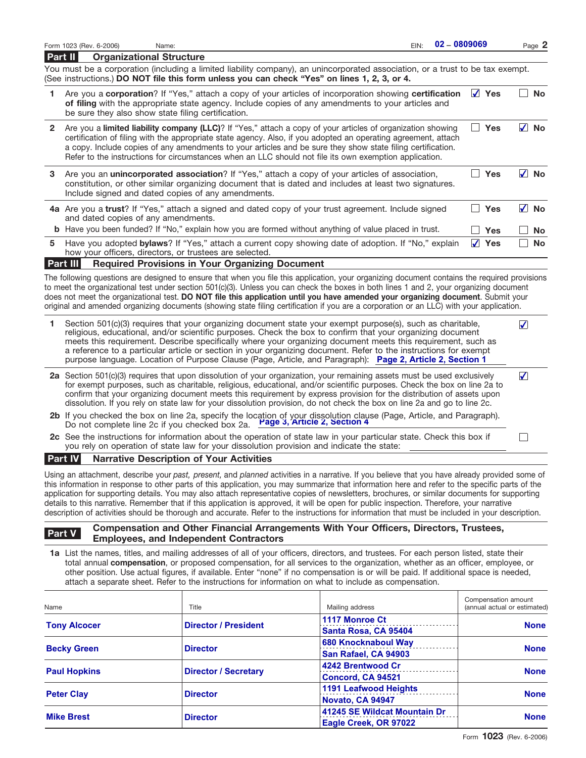|              | Form 1023 (Rev. 6-2006) |                                                    | Name: | EIN:                                                                                                                                                                                                                                                                                                                                                                                                                                                                                                                                                                                                                                                                                                                                               | $02 - 0809069$ |                |                      | Page 2        |
|--------------|-------------------------|----------------------------------------------------|-------|----------------------------------------------------------------------------------------------------------------------------------------------------------------------------------------------------------------------------------------------------------------------------------------------------------------------------------------------------------------------------------------------------------------------------------------------------------------------------------------------------------------------------------------------------------------------------------------------------------------------------------------------------------------------------------------------------------------------------------------------------|----------------|----------------|----------------------|---------------|
|              | Part II                 | <b>Organizational Structure</b>                    |       |                                                                                                                                                                                                                                                                                                                                                                                                                                                                                                                                                                                                                                                                                                                                                    |                |                |                      |               |
|              |                         |                                                    |       | You must be a corporation (including a limited liability company), an unincorporated association, or a trust to be tax exempt.<br>(See instructions.) DO NOT file this form unless you can check "Yes" on lines 1, 2, 3, or 4.                                                                                                                                                                                                                                                                                                                                                                                                                                                                                                                     |                |                |                      |               |
| 1            |                         | be sure they also show state filing certification. |       | Are you a corporation? If "Yes," attach a copy of your articles of incorporation showing certification<br>of filing with the appropriate state agency. Include copies of any amendments to your articles and                                                                                                                                                                                                                                                                                                                                                                                                                                                                                                                                       |                | $\sqrt{ }$ Yes |                      | $\Box$ No     |
| $\mathbf{2}$ |                         |                                                    |       | Are you a limited liability company (LLC)? If "Yes," attach a copy of your articles of organization showing<br>certification of filing with the appropriate state agency. Also, if you adopted an operating agreement, attach<br>a copy. Include copies of any amendments to your articles and be sure they show state filing certification.<br>Refer to the instructions for circumstances when an LLC should not file its own exemption application.                                                                                                                                                                                                                                                                                             |                | $\square$ Yes  |                      | $\sqrt{ }$ No |
| 3            |                         |                                                    |       | Are you an <i>unincorporated association</i> ? If "Yes," attach a copy of your articles of association,<br>constitution, or other similar organizing document that is dated and includes at least two signatures.<br>Include signed and dated copies of any amendments.                                                                                                                                                                                                                                                                                                                                                                                                                                                                            |                | $\Box$ Yes     |                      | $\sqrt{ }$ No |
|              |                         | and dated copies of any amendments.                |       | 4a Are you a trust? If "Yes," attach a signed and dated copy of your trust agreement. Include signed                                                                                                                                                                                                                                                                                                                                                                                                                                                                                                                                                                                                                                               |                | $\Box$ Yes     |                      | $\sqrt{ }$ No |
|              |                         |                                                    |       | <b>b</b> Have you been funded? If "No," explain how you are formed without anything of value placed in trust.                                                                                                                                                                                                                                                                                                                                                                                                                                                                                                                                                                                                                                      |                | Yes            |                      | No            |
| 5            |                         |                                                    |       | Have you adopted bylaws? If "Yes," attach a current copy showing date of adoption. If "No," explain<br>how your officers, directors, or trustees are selected.                                                                                                                                                                                                                                                                                                                                                                                                                                                                                                                                                                                     |                | $\sqrt{ }$ Yes |                      | No            |
|              | Part III                |                                                    |       | <b>Required Provisions in Your Organizing Document</b>                                                                                                                                                                                                                                                                                                                                                                                                                                                                                                                                                                                                                                                                                             |                |                |                      |               |
| 1.           |                         |                                                    |       | does not meet the organizational test. DO NOT file this application until you have amended your organizing document. Submit your<br>original and amended organizing documents (showing state filing certification if you are a corporation or an LLC) with your application.<br>Section 501(c)(3) requires that your organizing document state your exempt purpose(s), such as charitable,<br>religious, educational, and/or scientific purposes. Check the box to confirm that your organizing document<br>meets this requirement. Describe specifically where your organizing document meets this requirement, such as<br>a reference to a particular article or section in your organizing document. Refer to the instructions for exempt       |                |                | $\blacktriangledown$ |               |
|              |                         |                                                    |       | purpose language. Location of Purpose Clause (Page, Article, and Paragraph): Page 2, Article 2, Section 1                                                                                                                                                                                                                                                                                                                                                                                                                                                                                                                                                                                                                                          |                |                |                      |               |
|              |                         |                                                    |       | 2a Section 501(c)(3) requires that upon dissolution of your organization, your remaining assets must be used exclusively<br>for exempt purposes, such as charitable, religious, educational, and/or scientific purposes. Check the box on line 2a to<br>confirm that your organizing document meets this requirement by express provision for the distribution of assets upon<br>dissolution. If you rely on state law for your dissolution provision, do not check the box on line 2a and go to line 2c.                                                                                                                                                                                                                                          |                |                | $\blacktriangledown$ |               |
|              |                         |                                                    |       | 2b If you checked the box on line 2a, specify the location of your dissolution clause (Page, Article, and Paragraph).<br>Do not complete line 2c if you checked box 2a. Page 3, Article 2, Section 4                                                                                                                                                                                                                                                                                                                                                                                                                                                                                                                                               |                |                |                      |               |
|              |                         |                                                    |       | 2c See the instructions for information about the operation of state law in your particular state. Check this box if<br>you rely on operation of state law for your dissolution provision and indicate the state:                                                                                                                                                                                                                                                                                                                                                                                                                                                                                                                                  |                |                |                      |               |
|              | <b>Part IV</b>          |                                                    |       | <b>Narrative Description of Your Activities</b>                                                                                                                                                                                                                                                                                                                                                                                                                                                                                                                                                                                                                                                                                                    |                |                |                      |               |
|              |                         |                                                    |       | Using an attachment, describe your past, present, and planned activities in a narrative. If you believe that you have already provided some of<br>this information in response to other parts of this application, you may summarize that information here and refer to the specific parts of the<br>application for supporting details. You may also attach representative copies of newsletters, brochures, or similar documents for supporting<br>details to this narrative. Remember that if this application is approved, it will be open for public inspection. Therefore, your narrative<br>description of activities should be thorough and accurate. Refer to the instructions for information that must be included in your description. |                |                |                      |               |
|              | Part V                  |                                                    |       | Compensation and Other Financial Arrangements With Your Officers, Directors, Trustees,<br><b>Employees, and Independent Contractors</b>                                                                                                                                                                                                                                                                                                                                                                                                                                                                                                                                                                                                            |                |                |                      |               |
|              |                         |                                                    |       | 1a List the names, titles, and mailing addresses of all of your officers, directors, and trustees. For each person listed, state their<br>total annual compensation, or proposed compensation, for all services to the organization, whether as an officer, employee, or<br>other position. Use actual figures, if available. Enter "none" if no compensation is or will be paid. If additional space is needed,<br>attach a separate sheet. Refer to the instructions for information on what to include as compensation.                                                                                                                                                                                                                         |                |                |                      |               |

| Name                | Title                       | Mailing address                                       | Compensation amount<br>(annual actual or estimated) |
|---------------------|-----------------------------|-------------------------------------------------------|-----------------------------------------------------|
| <b>Tony Alcocer</b> | <b>Director / President</b> | <b>1117 Monroe Ct</b><br>Santa Rosa, CA 95404         | <b>None</b>                                         |
| <b>Becky Green</b>  | <b>Director</b>             | 680 Knocknaboul Way<br>San Rafael, CA 94903           | <b>None</b>                                         |
| <b>Paul Hopkins</b> | <b>Director / Secretary</b> | 4242 Brentwood Cr<br>Concord, CA 94521                | <b>None</b>                                         |
| <b>Peter Clay</b>   | <b>Director</b>             | <b>1191 Leafwood Heights</b><br>Novato, CA 94947      | <b>None</b>                                         |
| <b>Mike Brest</b>   | <b>Director</b>             | 41245 SE Wildcat Mountain Dr<br>Eagle Creek, OR 97022 | <b>None</b>                                         |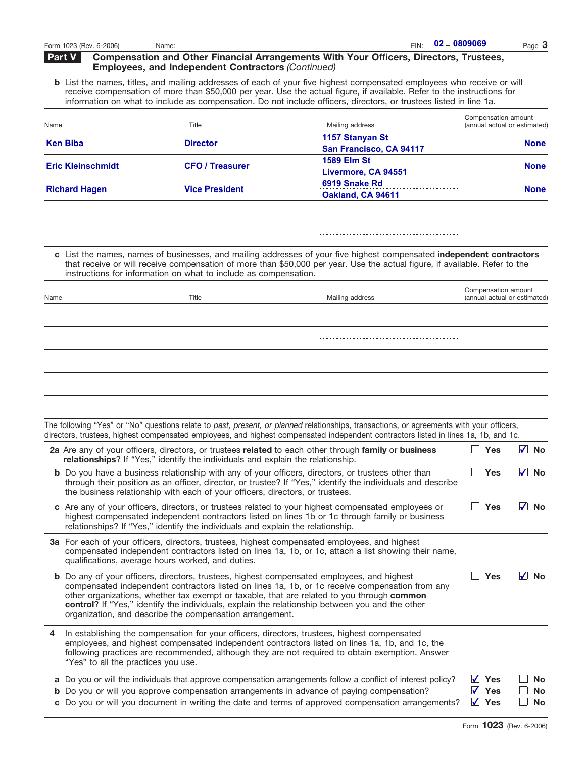| Form 1023 (Rev. 6-2006) | $02 - 0809069$ | n                     |
|-------------------------|----------------|-----------------------|
| Name:                   | EIN:           | <b>P</b> age <b>ک</b> |

**02 0809069**

#### **Compensation and Other Financial Arrangements With Your Officers, Directors, Trustees, Employees, and Independent Contractors** *(Continued)* **Part V**

**b** List the names, titles, and mailing addresses of each of your five highest compensated employees who receive or will receive compensation of more than \$50,000 per year. Use the actual figure, if available. Refer to the instructions for information on what to include as compensation. Do not include officers, directors, or trustees listed in line 1a.

| Name                     | Title                  | Mailing address                            | Compensation amount<br>(annual actual or estimated) |
|--------------------------|------------------------|--------------------------------------------|-----------------------------------------------------|
| <b>Ken Biba</b>          | <b>Director</b>        | 1157 Stanyan St<br>San Francisco, CA 94117 | <b>None</b>                                         |
| <b>Eric Kleinschmidt</b> | <b>CFO / Treasurer</b> | <b>1589 Elm St</b><br>Livermore, CA 94551  | <b>None</b>                                         |
|                          |                        | 6919 Snake Rd                              |                                                     |
| <b>Richard Hagen</b>     | <b>Vice President</b>  | Oakland, CA 94611                          | <b>None</b>                                         |
|                          |                        |                                            |                                                     |
|                          |                        |                                            |                                                     |

List the names, names of businesses, and mailing addresses of your five highest compensated **independent contractors c** that receive or will receive compensation of more than \$50,000 per year. Use the actual figure, if available. Refer to the instructions for information on what to include as compensation.

| Name | Title | Mailing address | Compensation amount<br>(annual actual or estimated) |
|------|-------|-----------------|-----------------------------------------------------|
|      |       |                 |                                                     |
|      |       |                 |                                                     |
|      |       |                 |                                                     |
|      |       |                 |                                                     |
|      |       | .               |                                                     |

The following "Yes" or "No" questions relate to *past, present, or planned* relationships, transactions, or agreements with your officers, directors, trustees, highest compensated employees, and highest compensated independent contractors listed in lines 1a, 1b, and 1c.

|   | 2a Are any of your officers, directors, or trustees related to each other through family or business<br>relationships? If "Yes," identify the individuals and explain the relationship.                                                                                                                                                                                                                                                                                   |              | Yes                                                | $\sqrt{ }$ No |                              |
|---|---------------------------------------------------------------------------------------------------------------------------------------------------------------------------------------------------------------------------------------------------------------------------------------------------------------------------------------------------------------------------------------------------------------------------------------------------------------------------|--------------|----------------------------------------------------|---------------|------------------------------|
|   | <b>b</b> Do you have a business relationship with any of your officers, directors, or trustees other than<br>through their position as an officer, director, or trustee? If "Yes," identify the individuals and describe<br>the business relationship with each of your officers, directors, or trustees.                                                                                                                                                                 | $\mathsf{L}$ | Yes                                                | $\sqrt{ }$ No |                              |
|   | c Are any of your officers, directors, or trustees related to your highest compensated employees or<br>highest compensated independent contractors listed on lines 1b or 1c through family or business<br>relationships? If "Yes," identify the individuals and explain the relationship.                                                                                                                                                                                 |              | $\vert$ Yes                                        | $\sqrt{ }$ No |                              |
|   | 3a For each of your officers, directors, trustees, highest compensated employees, and highest<br>compensated independent contractors listed on lines 1a, 1b, or 1c, attach a list showing their name,<br>qualifications, average hours worked, and duties.                                                                                                                                                                                                                |              |                                                    |               |                              |
|   | <b>b</b> Do any of your officers, directors, trustees, highest compensated employees, and highest<br>compensated independent contractors listed on lines 1a, 1b, or 1c receive compensation from any<br>other organizations, whether tax exempt or taxable, that are related to you through common<br><b>control</b> ? If "Yes," identify the individuals, explain the relationship between you and the other<br>organization, and describe the compensation arrangement. |              | <b>Yes</b>                                         | $\sqrt{ }$ No |                              |
| 4 | In establishing the compensation for your officers, directors, trustees, highest compensated<br>employees, and highest compensated independent contractors listed on lines 1a, 1b, and 1c, the<br>following practices are recommended, although they are not required to obtain exemption. Answer<br>"Yes" to all the practices you use.                                                                                                                                  |              |                                                    |               |                              |
|   | a Do you or will the individuals that approve compensation arrangements follow a conflict of interest policy?<br><b>b</b> Do you or will you approve compensation arrangements in advance of paying compensation?<br>c Do you or will you document in writing the date and terms of approved compensation arrangements?                                                                                                                                                   |              | $\sqrt{ }$ Yes<br>$\sqrt{ }$ Yes<br>$\sqrt{ }$ Yes |               | <b>No</b><br><b>No</b><br>No |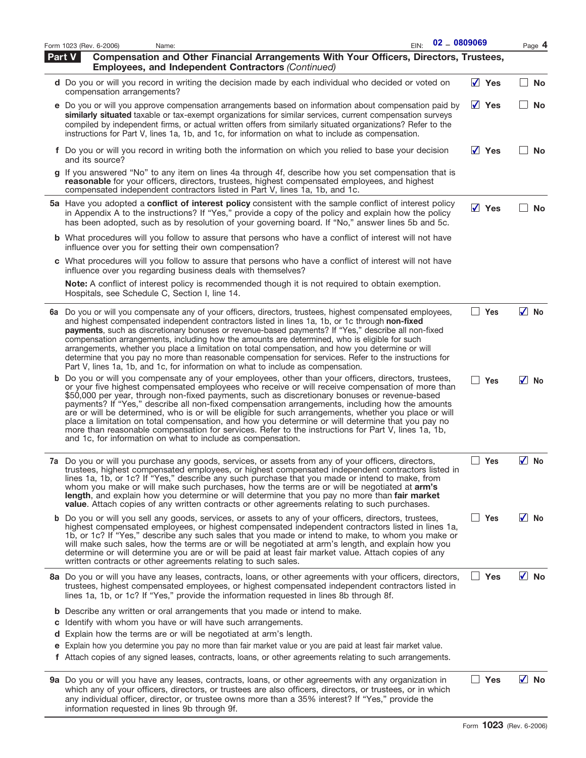|        | $02 - 0809069$<br>EIN:<br>Form 1023 (Rev. 6-2006)<br>Name:                                                                                                                                                                                                                                                                                                                                                                                                                                                                                                                                                                                                                                                                                                                                       |        |                |                   | Page 4        |
|--------|--------------------------------------------------------------------------------------------------------------------------------------------------------------------------------------------------------------------------------------------------------------------------------------------------------------------------------------------------------------------------------------------------------------------------------------------------------------------------------------------------------------------------------------------------------------------------------------------------------------------------------------------------------------------------------------------------------------------------------------------------------------------------------------------------|--------|----------------|-------------------|---------------|
| Part V | Compensation and Other Financial Arrangements With Your Officers, Directors, Trustees,<br>Employees, and Independent Contractors (Continued)                                                                                                                                                                                                                                                                                                                                                                                                                                                                                                                                                                                                                                                     |        |                |                   |               |
|        | d Do you or will you record in writing the decision made by each individual who decided or voted on<br>compensation arrangements?                                                                                                                                                                                                                                                                                                                                                                                                                                                                                                                                                                                                                                                                |        | $\sqrt{ }$ Yes |                   | <b>No</b>     |
|        | e Do you or will you approve compensation arrangements based on information about compensation paid by<br>similarly situated taxable or tax-exempt organizations for similar services, current compensation surveys<br>compiled by independent firms, or actual written offers from similarly situated organizations? Refer to the<br>instructions for Part V, lines 1a, 1b, and 1c, for information on what to include as compensation.                                                                                                                                                                                                                                                                                                                                                         |        | $\sqrt{ }$ Yes |                   | <b>No</b>     |
|        | f Do you or will you record in writing both the information on which you relied to base your decision<br>and its source?                                                                                                                                                                                                                                                                                                                                                                                                                                                                                                                                                                                                                                                                         |        | $\sqrt{ }$ Yes | $\vert \ \ \vert$ | <b>No</b>     |
|        | g If you answered "No" to any item on lines 4a through 4f, describe how you set compensation that is<br>reasonable for your officers, directors, trustees, highest compensated employees, and highest<br>compensated independent contractors listed in Part V, lines 1a, 1b, and 1c.                                                                                                                                                                                                                                                                                                                                                                                                                                                                                                             |        |                |                   |               |
|        | 5a Have you adopted a conflict of interest policy consistent with the sample conflict of interest policy<br>in Appendix A to the instructions? If "Yes," provide a copy of the policy and explain how the policy<br>has been adopted, such as by resolution of your governing board. If "No," answer lines 5b and 5c.                                                                                                                                                                                                                                                                                                                                                                                                                                                                            |        | $\sqrt{ }$ Yes | $\vert \ \ \vert$ | No            |
|        | <b>b</b> What procedures will you follow to assure that persons who have a conflict of interest will not have<br>influence over you for setting their own compensation?                                                                                                                                                                                                                                                                                                                                                                                                                                                                                                                                                                                                                          |        |                |                   |               |
|        | c What procedures will you follow to assure that persons who have a conflict of interest will not have<br>influence over you regarding business deals with themselves?                                                                                                                                                                                                                                                                                                                                                                                                                                                                                                                                                                                                                           |        |                |                   |               |
|        | <b>Note:</b> A conflict of interest policy is recommended though it is not required to obtain exemption.<br>Hospitals, see Schedule C, Section I, line 14.                                                                                                                                                                                                                                                                                                                                                                                                                                                                                                                                                                                                                                       |        |                |                   |               |
| 6a     | Do you or will you compensate any of your officers, directors, trustees, highest compensated employees,<br>and highest compensated independent contractors listed in lines 1a, 1b, or 1c through non-fixed<br>payments, such as discretionary bonuses or revenue-based payments? If "Yes," describe all non-fixed<br>compensation arrangements, including how the amounts are determined, who is eligible for such<br>arrangements, whether you place a limitation on total compensation, and how you determine or will<br>determine that you pay no more than reasonable compensation for services. Refer to the instructions for<br>Part V, lines 1a, 1b, and 1c, for information on what to include as compensation.                                                                          |        | Yes            |                   | $\sqrt{ }$ No |
| b      | Do you or will you compensate any of your employees, other than your officers, directors, trustees,<br>or your five highest compensated employees who receive or will receive compensation of more than<br>\$50,000 per year, through non-fixed payments, such as discretionary bonuses or revenue-based<br>payments? If "Yes," describe all non-fixed compensation arrangements, including how the amounts<br>are or will be determined, who is or will be eligible for such arrangements, whether you place or will<br>place a limitation on total compensation, and how you determine or will determine that you pay no<br>more than reasonable compensation for services. Refer to the instructions for Part V, lines 1a, 1b,<br>and 1c, for information on what to include as compensation. |        | Yes            | $\sqrt{ }$ No     |               |
|        | 7a Do you or will you purchase any goods, services, or assets from any of your officers, directors,<br>trustees, highest compensated employees, or highest compensated independent contractors listed in<br>lines 1a, 1b, or 1c? If "Yes," describe any such purchase that you made or intend to make, from<br>whom you make or will make such purchases, how the terms are or will be negotiated at arm's<br>length, and explain how you determine or will determine that you pay no more than fair market<br>value. Attach copies of any written contracts or other agreements relating to such purchases.                                                                                                                                                                                     |        | Yes            |                   | $\sqrt{ }$ No |
|        | b Do you or will you sell any goods, services, or assets to any of your officers, directors, trustees,<br>highest compensated employees, or highest compensated independent contractors listed in lines 1a,<br>1b, or 1c? If "Yes," describe any such sales that you made or intend to make, to whom you make or<br>will make such sales, how the terms are or will be negotiated at arm's length, and explain how you<br>determine or will determine you are or will be paid at least fair market value. Attach copies of any<br>written contracts or other agreements relating to such sales.                                                                                                                                                                                                  | $\Box$ | Yes            |                   | $\sqrt{ }$ No |
|        | 8a Do you or will you have any leases, contracts, loans, or other agreements with your officers, directors,<br>trustees, highest compensated employees, or highest compensated independent contractors listed in<br>lines 1a, 1b, or 1c? If "Yes," provide the information requested in lines 8b through 8f.                                                                                                                                                                                                                                                                                                                                                                                                                                                                                     |        | $\Box$ Yes     |                   | $\sqrt{ }$ No |
| С<br>d | <b>b</b> Describe any written or oral arrangements that you made or intend to make.<br>Identify with whom you have or will have such arrangements.<br>Explain how the terms are or will be negotiated at arm's length.<br>e Explain how you determine you pay no more than fair market value or you are paid at least fair market value.<br>f Attach copies of any signed leases, contracts, loans, or other agreements relating to such arrangements.                                                                                                                                                                                                                                                                                                                                           |        |                |                   |               |
|        | 9a Do you or will you have any leases, contracts, loans, or other agreements with any organization in<br>which any of your officers, directors, or trustees are also officers, directors, or trustees, or in which<br>any individual officer, director, or trustee owns more than a 35% interest? If "Yes," provide the<br>information requested in lines 9b through 9f.                                                                                                                                                                                                                                                                                                                                                                                                                         |        | $\Box$ Yes     |                   | $\sqrt{ }$ No |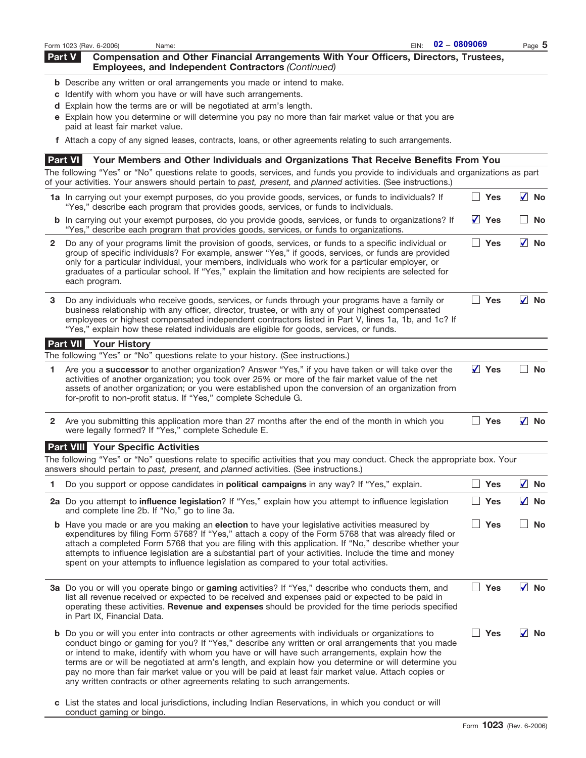|              | $02 - 0809069$<br>Form 1023 (Rev. 6-2006)<br>EIN:<br>Name:                                                                                                                                                                                                                                                                                                                                                                                                                                                                                                                                                   |                |            |        | Page 5        |
|--------------|--------------------------------------------------------------------------------------------------------------------------------------------------------------------------------------------------------------------------------------------------------------------------------------------------------------------------------------------------------------------------------------------------------------------------------------------------------------------------------------------------------------------------------------------------------------------------------------------------------------|----------------|------------|--------|---------------|
|              | Part V<br>Compensation and Other Financial Arrangements With Your Officers, Directors, Trustees,<br>Employees, and Independent Contractors (Continued)                                                                                                                                                                                                                                                                                                                                                                                                                                                       |                |            |        |               |
|              | <b>b</b> Describe any written or oral arrangements you made or intend to make.<br>c Identify with whom you have or will have such arrangements.                                                                                                                                                                                                                                                                                                                                                                                                                                                              |                |            |        |               |
|              | <b>d</b> Explain how the terms are or will be negotiated at arm's length.                                                                                                                                                                                                                                                                                                                                                                                                                                                                                                                                    |                |            |        |               |
|              | e Explain how you determine or will determine you pay no more than fair market value or that you are<br>paid at least fair market value.                                                                                                                                                                                                                                                                                                                                                                                                                                                                     |                |            |        |               |
|              | f Attach a copy of any signed leases, contracts, loans, or other agreements relating to such arrangements.                                                                                                                                                                                                                                                                                                                                                                                                                                                                                                   |                |            |        |               |
|              | Part VI<br>Your Members and Other Individuals and Organizations That Receive Benefits From You                                                                                                                                                                                                                                                                                                                                                                                                                                                                                                               |                |            |        |               |
|              | The following "Yes" or "No" questions relate to goods, services, and funds you provide to individuals and organizations as part<br>of your activities. Your answers should pertain to past, present, and planned activities. (See instructions.)                                                                                                                                                                                                                                                                                                                                                             |                |            |        |               |
|              | 1a In carrying out your exempt purposes, do you provide goods, services, or funds to individuals? If<br>"Yes," describe each program that provides goods, services, or funds to individuals.                                                                                                                                                                                                                                                                                                                                                                                                                 |                | $\Box$ Yes |        | $\sqrt{ }$ No |
|              | b In carrying out your exempt purposes, do you provide goods, services, or funds to organizations? If<br>"Yes," describe each program that provides goods, services, or funds to organizations.                                                                                                                                                                                                                                                                                                                                                                                                              | $\sqrt{ }$ Yes |            | $\Box$ | No            |
| $\mathbf{2}$ | Do any of your programs limit the provision of goods, services, or funds to a specific individual or<br>group of specific individuals? For example, answer "Yes," if goods, services, or funds are provided<br>only for a particular individual, your members, individuals who work for a particular employer, or<br>graduates of a particular school. If "Yes," explain the limitation and how recipients are selected for<br>each program.                                                                                                                                                                 |                | $\Box$ Yes |        | $\sqrt{ }$ No |
| 3.           | Do any individuals who receive goods, services, or funds through your programs have a family or<br>business relationship with any officer, director, trustee, or with any of your highest compensated<br>employees or highest compensated independent contractors listed in Part V, lines 1a, 1b, and 1c? If<br>"Yes," explain how these related individuals are eligible for goods, services, or funds.                                                                                                                                                                                                     |                | Yes        |        | $\sqrt{ }$ No |
|              | <b>Part VII</b><br><b>Your History</b>                                                                                                                                                                                                                                                                                                                                                                                                                                                                                                                                                                       |                |            |        |               |
|              | The following "Yes" or "No" questions relate to your history. (See instructions.)                                                                                                                                                                                                                                                                                                                                                                                                                                                                                                                            |                |            |        |               |
| 1            | Are you a successor to another organization? Answer "Yes," if you have taken or will take over the<br>activities of another organization; you took over 25% or more of the fair market value of the net<br>assets of another organization; or you were established upon the conversion of an organization from<br>for-profit to non-profit status. If "Yes," complete Schedule G.                                                                                                                                                                                                                            | $\sqrt{}$ Yes  |            |        | <b>No</b>     |
|              | 2 Are you submitting this application more than 27 months after the end of the month in which you<br>were legally formed? If "Yes," complete Schedule E.                                                                                                                                                                                                                                                                                                                                                                                                                                                     |                | $\Box$ Yes |        | $\sqrt{ }$ No |
|              | <b>Part VIII Your Specific Activities</b>                                                                                                                                                                                                                                                                                                                                                                                                                                                                                                                                                                    |                |            |        |               |
|              | The following "Yes" or "No" questions relate to specific activities that you may conduct. Check the appropriate box. Your<br>answers should pertain to past, present, and planned activities. (See instructions.)                                                                                                                                                                                                                                                                                                                                                                                            |                |            |        |               |
| 1            | Do you support or oppose candidates in <b>political campaigns</b> in any way? If "Yes," explain.                                                                                                                                                                                                                                                                                                                                                                                                                                                                                                             |                | Yes        |        | $\sqrt{ }$ No |
|              | 2a Do you attempt to influence legislation? If "Yes," explain how you attempt to influence legislation<br>and complete line 2b. If "No," go to line 3a.                                                                                                                                                                                                                                                                                                                                                                                                                                                      |                | Yes        |        | $\sqrt{ }$ No |
|              | <b>b</b> Have you made or are you making an election to have your legislative activities measured by<br>expenditures by filing Form 5768? If "Yes," attach a copy of the Form 5768 that was already filed or<br>attach a completed Form 5768 that you are filing with this application. If "No," describe whether your<br>attempts to influence legislation are a substantial part of your activities. Include the time and money<br>spent on your attempts to influence legislation as compared to your total activities.                                                                                   |                | <b>Nes</b> |        | No            |
|              | 3a Do you or will you operate bingo or gaming activities? If "Yes," describe who conducts them, and<br>list all revenue received or expected to be received and expenses paid or expected to be paid in<br>operating these activities. Revenue and expenses should be provided for the time periods specified<br>in Part IX, Financial Data.                                                                                                                                                                                                                                                                 |                | $\Box$ Yes |        | $\sqrt{ }$ No |
|              | <b>b</b> Do you or will you enter into contracts or other agreements with individuals or organizations to<br>conduct bingo or gaming for you? If "Yes," describe any written or oral arrangements that you made<br>or intend to make, identify with whom you have or will have such arrangements, explain how the<br>terms are or will be negotiated at arm's length, and explain how you determine or will determine you<br>pay no more than fair market value or you will be paid at least fair market value. Attach copies or<br>any written contracts or other agreements relating to such arrangements. |                | Yes        |        | $\sqrt{ }$ No |

List the states and local jurisdictions, including Indian Reservations, in which you conduct or will conduct gaming or bingo. **c**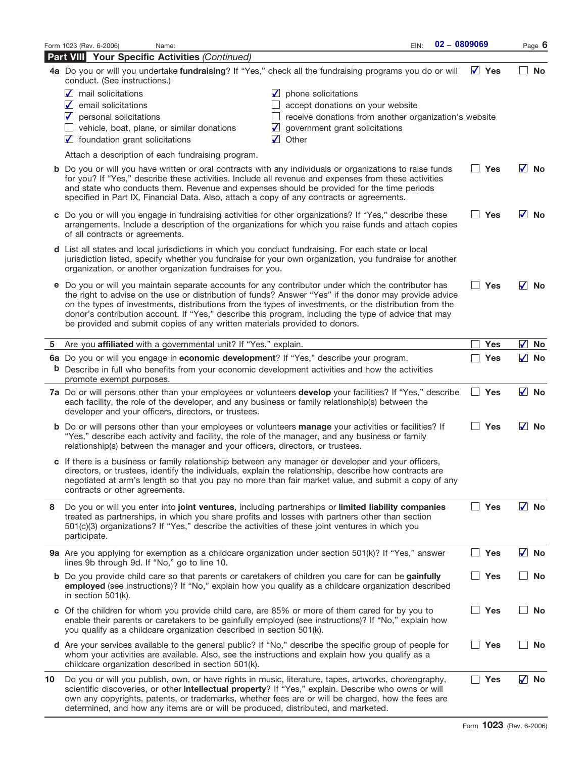|    | Form 1023 (Rev. 6-2006)<br>Name:                                                                                                                                                                                                                                                                                                                                                                       | $02 - 0809069$<br>EIN:                                                                               |                |                      | Page $6$      |
|----|--------------------------------------------------------------------------------------------------------------------------------------------------------------------------------------------------------------------------------------------------------------------------------------------------------------------------------------------------------------------------------------------------------|------------------------------------------------------------------------------------------------------|----------------|----------------------|---------------|
|    | <b>Part VIII Your Specific Activities (Continued)</b>                                                                                                                                                                                                                                                                                                                                                  |                                                                                                      |                |                      |               |
|    | 4a Do you or will you undertake fundraising? If "Yes," check all the fundraising programs you do or will<br>conduct. (See instructions.)                                                                                                                                                                                                                                                               |                                                                                                      | $\sqrt{ }$ Yes |                      | <b>No</b>     |
|    | $\sqrt{ }$<br>mail solicitations                                                                                                                                                                                                                                                                                                                                                                       | phone solicitations<br>$\sqrt{}$                                                                     |                |                      |               |
|    | $\blacktriangle$<br>email solicitations                                                                                                                                                                                                                                                                                                                                                                | accept donations on your website                                                                     |                |                      |               |
|    | $\blacktriangledown$<br>personal solicitations<br>vehicle, boat, plane, or similar donations                                                                                                                                                                                                                                                                                                           | receive donations from another organization's website<br>$\sqrt{}$<br>government grant solicitations |                |                      |               |
|    | $\sqrt{\ }$ foundation grant solicitations                                                                                                                                                                                                                                                                                                                                                             | $\blacktriangleright$<br>Other                                                                       |                |                      |               |
|    | Attach a description of each fundraising program.                                                                                                                                                                                                                                                                                                                                                      |                                                                                                      |                |                      |               |
|    | <b>b</b> Do you or will you have written or oral contracts with any individuals or organizations to raise funds                                                                                                                                                                                                                                                                                        |                                                                                                      | Yes            | $\sqrt{ }$ No        |               |
|    | for you? If "Yes," describe these activities. Include all revenue and expenses from these activities<br>and state who conducts them. Revenue and expenses should be provided for the time periods<br>specified in Part IX, Financial Data. Also, attach a copy of any contracts or agreements.                                                                                                         |                                                                                                      |                |                      |               |
|    | c Do you or will you engage in fundraising activities for other organizations? If "Yes," describe these<br>arrangements. Include a description of the organizations for which you raise funds and attach copies<br>of all contracts or agreements.                                                                                                                                                     |                                                                                                      | Yes            | $\sqrt{ }$ No        |               |
|    | d List all states and local jurisdictions in which you conduct fundraising. For each state or local<br>jurisdiction listed, specify whether you fundraise for your own organization, you fundraise for another<br>organization, or another organization fundraises for you.                                                                                                                            |                                                                                                      |                |                      |               |
|    | e Do you or will you maintain separate accounts for any contributor under which the contributor has<br>the right to advise on the use or distribution of funds? Answer "Yes" if the donor may provide advice                                                                                                                                                                                           |                                                                                                      | $\Box$ Yes     | $\blacktriangledown$ | No            |
|    | on the types of investments, distributions from the types of investments, or the distribution from the<br>donor's contribution account. If "Yes," describe this program, including the type of advice that may<br>be provided and submit copies of any written materials provided to donors.                                                                                                           |                                                                                                      |                |                      |               |
| 5  | Are you affiliated with a governmental unit? If "Yes," explain.                                                                                                                                                                                                                                                                                                                                        |                                                                                                      | <b>Yes</b>     | $\checkmark$         | No            |
|    | 6a Do you or will you engage in economic development? If "Yes," describe your program.                                                                                                                                                                                                                                                                                                                 |                                                                                                      | <b>Yes</b>     | $\sqrt{ }$ No        |               |
| b  | Describe in full who benefits from your economic development activities and how the activities<br>promote exempt purposes.                                                                                                                                                                                                                                                                             |                                                                                                      |                |                      |               |
|    | 7a Do or will persons other than your employees or volunteers develop your facilities? If "Yes," describe<br>each facility, the role of the developer, and any business or family relationship(s) between the<br>developer and your officers, directors, or trustees.                                                                                                                                  |                                                                                                      | <b>Yes</b>     | $\sqrt{ }$ No        |               |
|    | <b>b</b> Do or will persons other than your employees or volunteers manage your activities or facilities? If<br>"Yes," describe each activity and facility, the role of the manager, and any business or family<br>relationship(s) between the manager and your officers, directors, or trustees.                                                                                                      |                                                                                                      | <b>Yes</b>     | $\sqrt{ }$ No        |               |
|    | c If there is a business or family relationship between any manager or developer and your officers,<br>directors, or trustees, identify the individuals, explain the relationship, describe how contracts are<br>negotiated at arm's length so that you pay no more than fair market value, and submit a copy of any<br>contracts or other agreements.                                                 |                                                                                                      |                |                      |               |
| 8  | Do you or will you enter into joint ventures, including partnerships or limited liability companies<br>treated as partnerships, in which you share profits and losses with partners other than section<br>501(c)(3) organizations? If "Yes," describe the activities of these joint ventures in which you<br>participate.                                                                              |                                                                                                      | $\Box$ Yes     |                      | $\sqrt{ }$ No |
|    | 9a Are you applying for exemption as a childcare organization under section 501(k)? If "Yes," answer<br>lines 9b through 9d. If "No," go to line 10.                                                                                                                                                                                                                                                   |                                                                                                      | $\Box$ Yes     | $\sqrt{ }$ No        |               |
|    | <b>b</b> Do you provide child care so that parents or caretakers of children you care for can be gainfully<br>employed (see instructions)? If "No," explain how you qualify as a childcare organization described<br>in section 501(k).                                                                                                                                                                |                                                                                                      | Yes            |                      | No            |
|    | c Of the children for whom you provide child care, are 85% or more of them cared for by you to<br>enable their parents or caretakers to be gainfully employed (see instructions)? If "No," explain how<br>you qualify as a childcare organization described in section 501(k).                                                                                                                         |                                                                                                      | Yes            |                      | <b>No</b>     |
|    | d Are your services available to the general public? If "No," describe the specific group of people for<br>whom your activities are available. Also, see the instructions and explain how you qualify as a<br>childcare organization described in section 501(k).                                                                                                                                      |                                                                                                      | Yes            |                      | <b>No</b>     |
| 10 | Do you or will you publish, own, or have rights in music, literature, tapes, artworks, choreography,<br>scientific discoveries, or other intellectual property? If "Yes," explain. Describe who owns or will<br>own any copyrights, patents, or trademarks, whether fees are or will be charged, how the fees are<br>determined, and how any items are or will be produced, distributed, and marketed. |                                                                                                      | Yes            |                      | $\sqrt{ }$ No |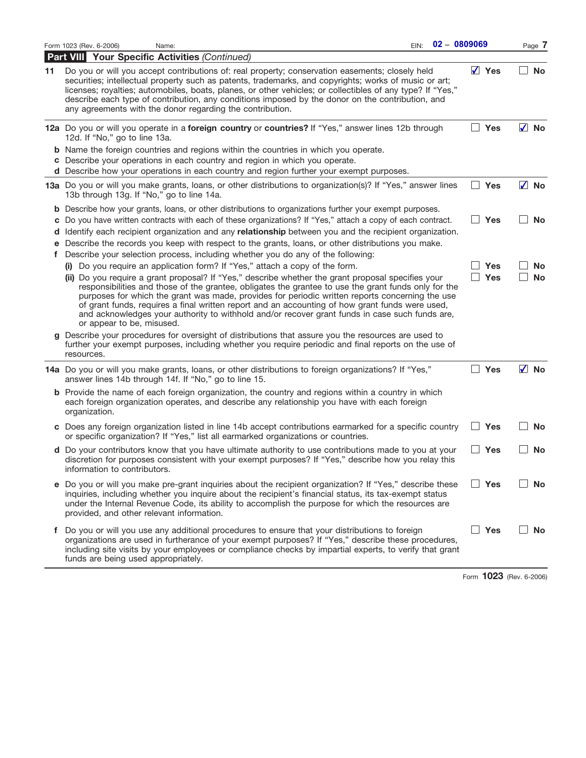|    | Form 1023 (Rev. 6-2006)<br>EIN:<br>Name:                                                                                                                                                                                                                                                                                                                                                                                                                                                                                                        | $02 - 0809069$ |                | Page 7        |
|----|-------------------------------------------------------------------------------------------------------------------------------------------------------------------------------------------------------------------------------------------------------------------------------------------------------------------------------------------------------------------------------------------------------------------------------------------------------------------------------------------------------------------------------------------------|----------------|----------------|---------------|
|    | <b>Part VIII Your Specific Activities (Continued)</b>                                                                                                                                                                                                                                                                                                                                                                                                                                                                                           |                |                |               |
| 11 | Do you or will you accept contributions of: real property; conservation easements; closely held<br>securities; intellectual property such as patents, trademarks, and copyrights; works of music or art;<br>licenses; royalties; automobiles, boats, planes, or other vehicles; or collectibles of any type? If "Yes,"<br>describe each type of contribution, any conditions imposed by the donor on the contribution, and<br>any agreements with the donor regarding the contribution.                                                         |                | $\sqrt{ }$ Yes | No            |
|    | 12a Do you or will you operate in a foreign country or countries? If "Yes," answer lines 12b through<br>12d. If "No," go to line 13a.                                                                                                                                                                                                                                                                                                                                                                                                           |                | $\Box$ Yes     | $\sqrt{ }$ No |
|    | <b>b</b> Name the foreign countries and regions within the countries in which you operate.                                                                                                                                                                                                                                                                                                                                                                                                                                                      |                |                |               |
|    | Describe your operations in each country and region in which you operate.                                                                                                                                                                                                                                                                                                                                                                                                                                                                       |                |                |               |
|    | d Describe how your operations in each country and region further your exempt purposes.                                                                                                                                                                                                                                                                                                                                                                                                                                                         |                |                |               |
|    | 13a Do you or will you make grants, loans, or other distributions to organization(s)? If "Yes," answer lines<br>13b through 13g. If "No," go to line 14a.                                                                                                                                                                                                                                                                                                                                                                                       |                | $\Box$ Yes     | $\sqrt{ }$ No |
|    | <b>b</b> Describe how your grants, loans, or other distributions to organizations further your exempt purposes.                                                                                                                                                                                                                                                                                                                                                                                                                                 |                |                |               |
|    | c Do you have written contracts with each of these organizations? If "Yes," attach a copy of each contract.                                                                                                                                                                                                                                                                                                                                                                                                                                     |                | $\Box$ Yes     | <b>No</b>     |
|    | d Identify each recipient organization and any relationship between you and the recipient organization.                                                                                                                                                                                                                                                                                                                                                                                                                                         |                |                |               |
| е  | Describe the records you keep with respect to the grants, loans, or other distributions you make.                                                                                                                                                                                                                                                                                                                                                                                                                                               |                |                |               |
| f  | Describe your selection process, including whether you do any of the following:                                                                                                                                                                                                                                                                                                                                                                                                                                                                 |                |                |               |
|    | (i) Do you require an application form? If "Yes," attach a copy of the form.                                                                                                                                                                                                                                                                                                                                                                                                                                                                    |                | <b>Yes</b>     | <b>No</b>     |
|    | (ii) Do you require a grant proposal? If "Yes," describe whether the grant proposal specifies your<br>responsibilities and those of the grantee, obligates the grantee to use the grant funds only for the<br>purposes for which the grant was made, provides for periodic written reports concerning the use<br>of grant funds, requires a final written report and an accounting of how grant funds were used,<br>and acknowledges your authority to withhold and/or recover grant funds in case such funds are,<br>or appear to be, misused. |                | $\Box$ Yes     | <b>No</b>     |
|    | g Describe your procedures for oversight of distributions that assure you the resources are used to<br>further your exempt purposes, including whether you require periodic and final reports on the use of<br>resources.                                                                                                                                                                                                                                                                                                                       |                |                |               |
|    | 14a Do you or will you make grants, loans, or other distributions to foreign organizations? If "Yes,"<br>answer lines 14b through 14f. If "No," go to line 15.                                                                                                                                                                                                                                                                                                                                                                                  |                | $\Box$ Yes     | $\sqrt{ }$ No |
|    | <b>b</b> Provide the name of each foreign organization, the country and regions within a country in which<br>each foreign organization operates, and describe any relationship you have with each foreign<br>organization.                                                                                                                                                                                                                                                                                                                      |                |                |               |
|    | c Does any foreign organization listed in line 14b accept contributions earmarked for a specific country<br>or specific organization? If "Yes," list all earmarked organizations or countries.                                                                                                                                                                                                                                                                                                                                                  |                | $\Box$ Yes     | <b>No</b>     |
|    | d Do your contributors know that you have ultimate authority to use contributions made to you at your<br>discretion for purposes consistent with your exempt purposes? If "Yes," describe how you relay this<br>information to contributors.                                                                                                                                                                                                                                                                                                    |                | $\Box$ Yes     | <b>No</b>     |
|    | e Do you or will you make pre-grant inquiries about the recipient organization? If "Yes," describe these<br>inquiries, including whether you inquire about the recipient's financial status, its tax-exempt status<br>under the Internal Revenue Code, its ability to accomplish the purpose for which the resources are<br>provided, and other relevant information.                                                                                                                                                                           |                | $\Box$ Yes     | <b>No</b>     |
| f. | Do you or will you use any additional procedures to ensure that your distributions to foreign<br>organizations are used in furtherance of your exempt purposes? If "Yes," describe these procedures,<br>including site visits by your employees or compliance checks by impartial experts, to verify that grant<br>funds are being used appropriately.                                                                                                                                                                                          |                | $\Box$ Yes     | <b>No</b>     |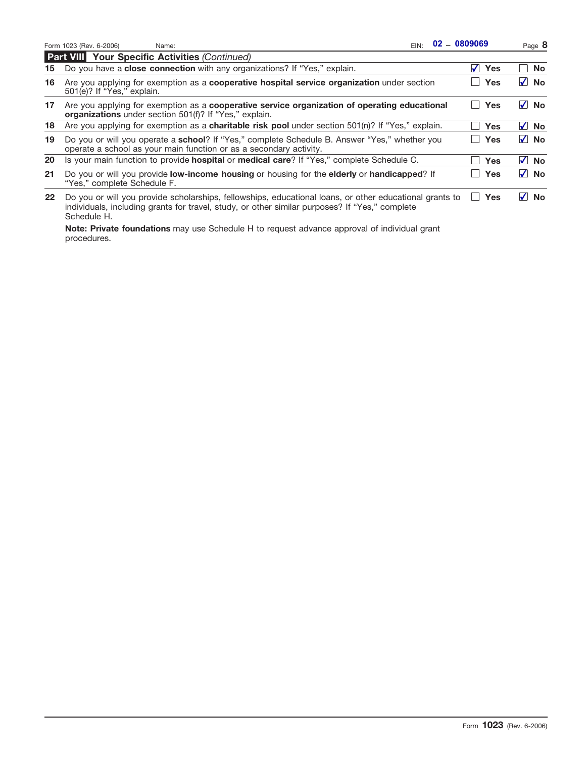|         | Form 1023 (Rev. 6-2006) | Name:                                                                                                                                                                                                     | $EIN: 02 - 0809069$ |                | Page 8          |
|---------|-------------------------|-----------------------------------------------------------------------------------------------------------------------------------------------------------------------------------------------------------|---------------------|----------------|-----------------|
|         |                         | <b>Part VIII Your Specific Activities (Continued)</b>                                                                                                                                                     |                     |                |                 |
| 15      |                         | Do you have a <b>close connection</b> with any organizations? If "Yes," explain.                                                                                                                          |                     | $\sqrt{ }$ Yes | <b>No</b>       |
| 16      |                         | Are you applying for exemption as a <b>cooperative hospital service organization</b> under section<br>501(e)? If "Yes," explain.                                                                          |                     | <b>Yes</b>     | $\sqrt{ }$ No   |
| 17      |                         | Are you applying for exemption as a <b>cooperative service organization of operating educational</b><br>organizations under section 501(f)? If "Yes," explain.                                            |                     | <b>Yes</b>     | $\sqrt{ }$ No   |
| 18      |                         | Are you applying for exemption as a charitable risk pool under section 501(n)? If "Yes," explain.                                                                                                         |                     | <b>Yes</b>     | $\sqrt{ }$ No   |
| 19      |                         | Do you or will you operate a <b>school</b> ? If "Yes," complete Schedule B. Answer "Yes," whether you<br>operate a school as your main function or as a secondary activity.                               |                     | <b>Yes</b>     | $\sqrt{ }$ No   |
| 20      |                         | Is your main function to provide <b>hospital</b> or <b>medical care</b> ? If "Yes," complete Schedule C.                                                                                                  |                     | <b>Yes</b>     | $\sqrt{ }$ No   |
| 21      |                         | Do you or will you provide low-income housing or housing for the elderly or handicapped? If<br>"Yes," complete Schedule F.                                                                                |                     | <b>Yes</b>     | $\sqrt{ }$ No   |
| $22 \,$ | Schedule H.             | Do you or will you provide scholarships, fellowships, educational loans, or other educational grants to<br>individuals, including grants for travel, study, or other similar purposes? If "Yes," complete |                     | <b>Yes</b>     | $\sqrt{}$<br>No |

**Note: Private foundations** may use Schedule H to request advance approval of individual grant procedures.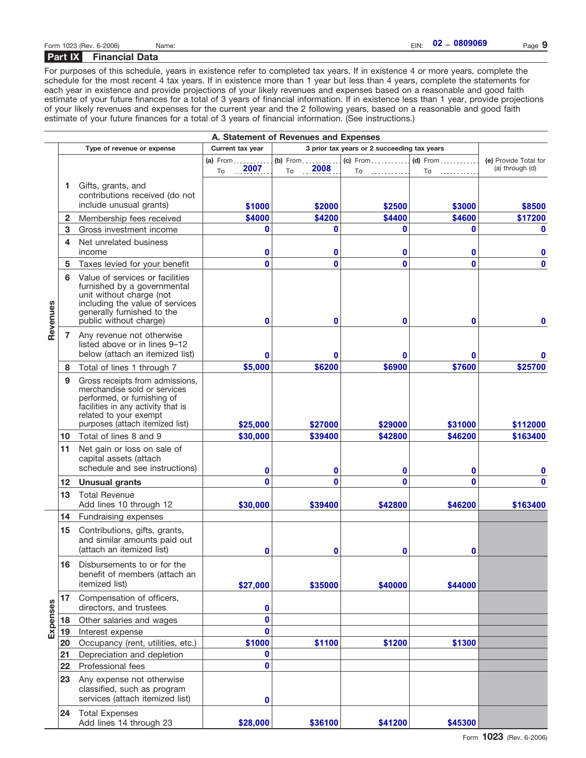#### **Financial Data Part IX**

For purposes of this schedule, years in existence refer to completed tax years. If in existence 4 or more years, complete the schedule for the most recent 4 tax years. If in existence more than 1 year but less than 4 years, complete the statements for each year in existence and provide projections of your likely revenues and expenses based on a reasonable and good faith estimate of your future finances for a total of 3 years of financial information. If in existence less than 1 year, provide projections of your likely revenues and expenses for the current year and the 2 following years, based on a reasonable and good faith estimate of your future finances for a total of 3 years of financial information. (See instructions.)

|          |                 |                                                                                                                                                                                                   |                         | A. Statement of Revenues and Expenses |                                             |                  |                                          |
|----------|-----------------|---------------------------------------------------------------------------------------------------------------------------------------------------------------------------------------------------|-------------------------|---------------------------------------|---------------------------------------------|------------------|------------------------------------------|
|          |                 | Type of revenue or expense                                                                                                                                                                        | <b>Current tax year</b> |                                       | 3 prior tax years or 2 succeeding tax years |                  |                                          |
|          |                 |                                                                                                                                                                                                   | (a) From<br>2007<br>To  | (b) $From$<br>2008<br>To              | $(c)$ From $\ldots$<br>To<br>.              | (d) $From$<br>To | (e) Provide Total for<br>(a) through (d) |
|          | 1.              | Gifts, grants, and<br>contributions received (do not<br>include unusual grants)                                                                                                                   | \$1000                  | \$2000                                | \$2500                                      | \$3000           | \$8500                                   |
|          | 2               | Membership fees received                                                                                                                                                                          | \$4000                  | \$4200                                | \$4400                                      | \$4600           | \$17200                                  |
|          | 3               | Gross investment income                                                                                                                                                                           | $\bf{0}$                | O                                     | 0                                           | O                | $\mathbf{0}$                             |
|          | 4               | Net unrelated business<br>income                                                                                                                                                                  | 0                       | 0                                     | 0                                           | 0                | 0                                        |
|          | 5.              | Taxes levied for your benefit                                                                                                                                                                     | $\mathbf{0}$            | Ō                                     | $\mathbf{0}$                                | <sup>0</sup>     | $\mathbf{0}$                             |
| Revenues | 6               | Value of services or facilities<br>furnished by a governmental<br>unit without charge (not<br>including the value of services<br>generally furnished to the<br>public without charge)             | 0                       | 0                                     | 0                                           | 0                | $\bf{0}$                                 |
|          | $\mathbf{7}$    | Any revenue not otherwise<br>listed above or in lines 9-12<br>below (attach an itemized list)                                                                                                     |                         |                                       | 0                                           | Ω                |                                          |
|          | 8               | Total of lines 1 through 7                                                                                                                                                                        | \$5,000                 | \$6200                                | \$6900                                      | \$7600           | \$25700                                  |
|          | 9               | Gross receipts from admissions,<br>merchandise sold or services<br>performed, or furnishing of<br>facilities in any activity that is<br>related to your exempt<br>purposes (attach itemized list) |                         |                                       |                                             | \$31000          | \$112000                                 |
|          |                 |                                                                                                                                                                                                   | \$25,000<br>\$30,000    | \$27000<br>\$39400                    | \$29000<br>\$42800                          | \$46200          | \$163400                                 |
|          | 10              | Total of lines 8 and 9                                                                                                                                                                            |                         |                                       |                                             |                  |                                          |
|          | 11              | Net gain or loss on sale of<br>capital assets (attach<br>schedule and see instructions)                                                                                                           | 0                       | 0                                     | 0                                           | 0                | 0                                        |
|          | 12 <sup>°</sup> | <b>Unusual grants</b>                                                                                                                                                                             | Ō                       | Ō                                     | $\mathbf{0}$                                | O                | $\bf{0}$                                 |
|          | 13              | <b>Total Revenue</b><br>Add lines 10 through 12                                                                                                                                                   | \$30,000                | \$39400                               | \$42800                                     | \$46200          | \$163400                                 |
|          | 14              | Fundraising expenses                                                                                                                                                                              |                         |                                       |                                             |                  |                                          |
|          | 15              | Contributions, gifts, grants,<br>and similar amounts paid out<br>(attach an itemized list)                                                                                                        | 0                       | 0                                     | 0                                           | 0                |                                          |
|          | 16              | Disbursements to or for the<br>benefit of members (attach an<br>itemized list)                                                                                                                    | \$27,000                | \$35000                               | \$40000                                     | \$44000          |                                          |
| Expenses | 17              | Compensation of officers,<br>directors, and trustees                                                                                                                                              | 0                       |                                       |                                             |                  |                                          |
|          | 18              | Other salaries and wages                                                                                                                                                                          | $\mathbf{0}$            |                                       |                                             |                  |                                          |
|          | 19              | Interest expense                                                                                                                                                                                  | $\mathbf{0}$            |                                       |                                             |                  |                                          |
|          | 20              | Occupancy (rent, utilities, etc.)                                                                                                                                                                 | \$1000                  | \$1100                                | \$1200                                      | \$1300           |                                          |
|          | 21              | Depreciation and depletion                                                                                                                                                                        | 0                       |                                       |                                             |                  |                                          |
|          | 22              | Professional fees                                                                                                                                                                                 | $\mathbf 0$             |                                       |                                             |                  |                                          |
|          | 23              | Any expense not otherwise<br>classified, such as program<br>services (attach itemized list)                                                                                                       | 0                       |                                       |                                             |                  |                                          |
|          |                 | 24 Total Expenses<br>Add lines 14 through 23                                                                                                                                                      | \$28,000                | \$36100                               | \$41200                                     | \$45300          |                                          |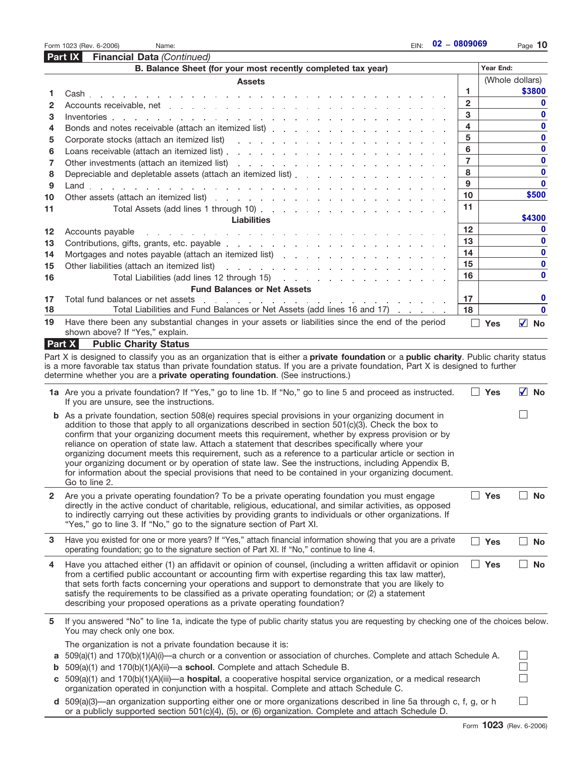|              | Form 1023 (Rev. 6-2006)<br>Name:                                                                                                                                                                                                                                                                                                                                                                                                                                                                                                                                                                                                               | EIN: | $02 - 0809069$ |                |            | Page 10                     |
|--------------|------------------------------------------------------------------------------------------------------------------------------------------------------------------------------------------------------------------------------------------------------------------------------------------------------------------------------------------------------------------------------------------------------------------------------------------------------------------------------------------------------------------------------------------------------------------------------------------------------------------------------------------------|------|----------------|----------------|------------|-----------------------------|
|              | Part IX<br><b>Financial Data (Continued)</b>                                                                                                                                                                                                                                                                                                                                                                                                                                                                                                                                                                                                   |      |                |                |            |                             |
|              | B. Balance Sheet (for your most recently completed tax year)                                                                                                                                                                                                                                                                                                                                                                                                                                                                                                                                                                                   |      |                |                | Year End:  |                             |
|              | <b>Assets</b>                                                                                                                                                                                                                                                                                                                                                                                                                                                                                                                                                                                                                                  |      |                |                |            | (Whole dollars)             |
| 1            |                                                                                                                                                                                                                                                                                                                                                                                                                                                                                                                                                                                                                                                |      |                | 1.             |            | \$3800                      |
| 2            | Accounts receivable, net referred and referred and referred and referred and referred and referred and referred and referred and referred and referred and referred and referred and referred and referred and referred and re                                                                                                                                                                                                                                                                                                                                                                                                                 |      |                | $\overline{2}$ |            | $\mathbf 0$                 |
| 3            |                                                                                                                                                                                                                                                                                                                                                                                                                                                                                                                                                                                                                                                |      |                | 3              |            | $\mathbf 0$                 |
| 4            |                                                                                                                                                                                                                                                                                                                                                                                                                                                                                                                                                                                                                                                |      |                | $\overline{4}$ |            | $\mathbf 0$                 |
| 5            |                                                                                                                                                                                                                                                                                                                                                                                                                                                                                                                                                                                                                                                |      |                | 5              |            | $\mathbf{0}$                |
| 6            |                                                                                                                                                                                                                                                                                                                                                                                                                                                                                                                                                                                                                                                |      |                | $6\phantom{a}$ |            | $\mathbf{0}$                |
| 7            | Other investments (attach an itemized list) and a subset of the contract of the state of the contract of the contract of the contract of the contract of the contract of the contract of the contract of the contract of the c                                                                                                                                                                                                                                                                                                                                                                                                                 |      |                | $\overline{7}$ |            | $\mathbf{0}$                |
| 8            | Depreciable and depletable assets (attach an itemized list)                                                                                                                                                                                                                                                                                                                                                                                                                                                                                                                                                                                    |      |                | 8              |            | $\mathbf 0$                 |
| 9            |                                                                                                                                                                                                                                                                                                                                                                                                                                                                                                                                                                                                                                                |      |                | 9              |            | $\mathbf 0$                 |
| 10           |                                                                                                                                                                                                                                                                                                                                                                                                                                                                                                                                                                                                                                                |      |                | 10             |            | \$500                       |
| 11           |                                                                                                                                                                                                                                                                                                                                                                                                                                                                                                                                                                                                                                                |      |                | 11             |            |                             |
|              | <b>Liabilities</b>                                                                                                                                                                                                                                                                                                                                                                                                                                                                                                                                                                                                                             |      |                |                |            | \$4300                      |
| 12           | Accounts payable<br>and the contract of the contract of the contract of the contract of the contract of the contract of                                                                                                                                                                                                                                                                                                                                                                                                                                                                                                                        |      |                | 12             |            | $\bf{0}$                    |
| 13           |                                                                                                                                                                                                                                                                                                                                                                                                                                                                                                                                                                                                                                                |      |                | 13<br>14       |            | $\mathbf 0$<br>$\mathbf{0}$ |
| 14           | Mortgages and notes payable (attach an itemized list)                                                                                                                                                                                                                                                                                                                                                                                                                                                                                                                                                                                          |      |                | 15             |            |                             |
| 15           | Other liabilities (attach an itemized list) and a subset of the subset of the line of the line of the line of the line of the line of the line of the line of the line of the line of the line of the line of the line of the                                                                                                                                                                                                                                                                                                                                                                                                                  |      |                | 16             |            | $\bf{0}$<br>$\mathbf{0}$    |
| 16           | Total Liabilities (add lines 12 through 15)                                                                                                                                                                                                                                                                                                                                                                                                                                                                                                                                                                                                    |      |                |                |            |                             |
|              | <b>Fund Balances or Net Assets</b>                                                                                                                                                                                                                                                                                                                                                                                                                                                                                                                                                                                                             |      |                | 17             |            | 0                           |
| 17<br>18     | Total fund balances or net assets<br>and the company of the company of<br>.<br>Total Liabilities and Fund Balances or Net Assets (add lines 16 and 17)                                                                                                                                                                                                                                                                                                                                                                                                                                                                                         |      |                | 18             |            | $\bf{0}$                    |
| 19           | Have there been any substantial changes in your assets or liabilities since the end of the period                                                                                                                                                                                                                                                                                                                                                                                                                                                                                                                                              |      |                |                | $\Box$ Yes | $\sqrt{ }$ No               |
|              | shown above? If "Yes," explain.                                                                                                                                                                                                                                                                                                                                                                                                                                                                                                                                                                                                                |      |                |                |            |                             |
|              | <b>Public Charity Status</b><br>Part X                                                                                                                                                                                                                                                                                                                                                                                                                                                                                                                                                                                                         |      |                |                |            |                             |
|              | determine whether you are a <b>private operating foundation</b> . (See instructions.)<br>1a Are you a private foundation? If "Yes," go to line 1b. If "No," go to line 5 and proceed as instructed.<br>If you are unsure, see the instructions.<br><b>b</b> As a private foundation, section 508(e) requires special provisions in your organizing document in                                                                                                                                                                                                                                                                                 |      |                |                | $\Box$ Yes | $\sqrt{ }$ No               |
|              | addition to those that apply to all organizations described in section 501(c)(3). Check the box to<br>confirm that your organizing document meets this requirement, whether by express provision or by<br>reliance on operation of state law. Attach a statement that describes specifically where your<br>organizing document meets this requirement, such as a reference to a particular article or section in<br>your organizing document or by operation of state law. See the instructions, including Appendix B,<br>for information about the special provisions that need to be contained in your organizing document.<br>Go to line 2. |      |                |                |            |                             |
| $\mathbf{2}$ | Are you a private operating foundation? To be a private operating foundation you must engage<br>directly in the active conduct of charitable, religious, educational, and similar activities, as opposed<br>to indirectly carrying out these activities by providing grants to individuals or other organizations. If<br>"Yes," go to line 3. If "No," go to the signature section of Part XI.                                                                                                                                                                                                                                                 |      |                |                | $\Box$ Yes | No                          |
| 3            | Have you existed for one or more years? If "Yes," attach financial information showing that you are a private<br>operating foundation; go to the signature section of Part XI. If "No," continue to line 4.                                                                                                                                                                                                                                                                                                                                                                                                                                    |      |                |                | $\Box$ Yes | <b>No</b>                   |
| 4            | Have you attached either (1) an affidavit or opinion of counsel, (including a written affidavit or opinion<br>from a certified public accountant or accounting firm with expertise regarding this tax law matter),<br>that sets forth facts concerning your operations and support to demonstrate that you are likely to<br>satisfy the requirements to be classified as a private operating foundation; or (2) a statement<br>describing your proposed operations as a private operating foundation?                                                                                                                                          |      |                |                | $\Box$ Yes | <b>No</b><br>$\Box$         |
| 5            | If you answered "No" to line 1a, indicate the type of public charity status you are requesting by checking one of the choices below.<br>You may check only one box.                                                                                                                                                                                                                                                                                                                                                                                                                                                                            |      |                |                |            |                             |
|              | The organization is not a private foundation because it is:                                                                                                                                                                                                                                                                                                                                                                                                                                                                                                                                                                                    |      |                |                |            |                             |
| а            | 509(a)(1) and 170(b)(1)(A)(i)—a church or a convention or association of churches. Complete and attach Schedule A.                                                                                                                                                                                                                                                                                                                                                                                                                                                                                                                             |      |                |                |            |                             |
| b            | 509(a)(1) and 170(b)(1)(A)(ii)-a school. Complete and attach Schedule B.                                                                                                                                                                                                                                                                                                                                                                                                                                                                                                                                                                       |      |                |                |            |                             |
| С            | 509(a)(1) and 170(b)(1)(A)(iii)—a <b>hospital</b> , a cooperative hospital service organization, or a medical research<br>organization operated in conjunction with a hospital. Complete and attach Schedule C.                                                                                                                                                                                                                                                                                                                                                                                                                                |      |                |                |            | $\Box$                      |
|              | $d$ 509(a)(3)—an organization supporting either one or more organizations described in line 5a through c, f, g, or h<br>or a publicly supported section 501(c)(4), (5), or (6) organization. Complete and attach Schedule D.                                                                                                                                                                                                                                                                                                                                                                                                                   |      |                |                |            |                             |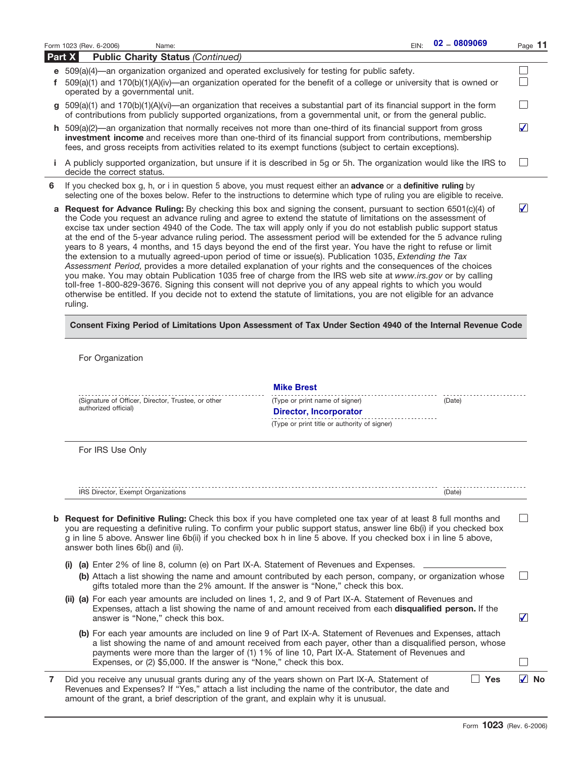|   | <b>Public Charity Status (Continued)</b><br>Part X                                                                                                                                                                                                                                         |                                                                                                                                                                                                                                                                                                                                                                                                                                                                                                                                                                                                                                                                                                                                                                                                                                                                                                                                                                                                                                                                                                                                                                  |                      |  |  |  |  |  |  |  |
|---|--------------------------------------------------------------------------------------------------------------------------------------------------------------------------------------------------------------------------------------------------------------------------------------------|------------------------------------------------------------------------------------------------------------------------------------------------------------------------------------------------------------------------------------------------------------------------------------------------------------------------------------------------------------------------------------------------------------------------------------------------------------------------------------------------------------------------------------------------------------------------------------------------------------------------------------------------------------------------------------------------------------------------------------------------------------------------------------------------------------------------------------------------------------------------------------------------------------------------------------------------------------------------------------------------------------------------------------------------------------------------------------------------------------------------------------------------------------------|----------------------|--|--|--|--|--|--|--|
|   | e 509(a)(4)—an organization organized and operated exclusively for testing for public safety.                                                                                                                                                                                              |                                                                                                                                                                                                                                                                                                                                                                                                                                                                                                                                                                                                                                                                                                                                                                                                                                                                                                                                                                                                                                                                                                                                                                  |                      |  |  |  |  |  |  |  |
|   | operated by a governmental unit.                                                                                                                                                                                                                                                           | f $509(a)(1)$ and $170(b)(1)(A)(iv)$ —an organization operated for the benefit of a college or university that is owned or                                                                                                                                                                                                                                                                                                                                                                                                                                                                                                                                                                                                                                                                                                                                                                                                                                                                                                                                                                                                                                       | П                    |  |  |  |  |  |  |  |
|   |                                                                                                                                                                                                                                                                                            | 509(a)(1) and 170(b)(1)(A)(vi)—an organization that receives a substantial part of its financial support in the form<br>of contributions from publicly supported organizations, from a governmental unit, or from the general public.                                                                                                                                                                                                                                                                                                                                                                                                                                                                                                                                                                                                                                                                                                                                                                                                                                                                                                                            | $\vert \ \ \vert$    |  |  |  |  |  |  |  |
|   | fees, and gross receipts from activities related to its exempt functions (subject to certain exceptions).                                                                                                                                                                                  | $h$ 509(a)(2)—an organization that normally receives not more than one-third of its financial support from gross<br>investment income and receives more than one-third of its financial support from contributions, membership                                                                                                                                                                                                                                                                                                                                                                                                                                                                                                                                                                                                                                                                                                                                                                                                                                                                                                                                   | $\checkmark$         |  |  |  |  |  |  |  |
|   | decide the correct status.                                                                                                                                                                                                                                                                 | i A publicly supported organization, but unsure if it is described in 5g or 5h. The organization would like the IRS to                                                                                                                                                                                                                                                                                                                                                                                                                                                                                                                                                                                                                                                                                                                                                                                                                                                                                                                                                                                                                                           | $\vert \ \ \vert$    |  |  |  |  |  |  |  |
| 6 |                                                                                                                                                                                                                                                                                            | If you checked box g, h, or i in question 5 above, you must request either an advance or a definitive ruling by<br>selecting one of the boxes below. Refer to the instructions to determine which type of ruling you are eligible to receive.                                                                                                                                                                                                                                                                                                                                                                                                                                                                                                                                                                                                                                                                                                                                                                                                                                                                                                                    |                      |  |  |  |  |  |  |  |
|   | ruling.                                                                                                                                                                                                                                                                                    | Request for Advance Ruling: By checking this box and signing the consent, pursuant to section 6501(c)(4) of<br>the Code you request an advance ruling and agree to extend the statute of limitations on the assessment of<br>excise tax under section 4940 of the Code. The tax will apply only if you do not establish public support status<br>at the end of the 5-year advance ruling period. The assessment period will be extended for the 5 advance ruling<br>years to 8 years, 4 months, and 15 days beyond the end of the first year. You have the right to refuse or limit<br>the extension to a mutually agreed-upon period of time or issue(s). Publication 1035, Extending the Tax<br>Assessment Period, provides a more detailed explanation of your rights and the consequences of the choices<br>you make. You may obtain Publication 1035 free of charge from the IRS web site at www.irs.gov or by calling<br>toll-free 1-800-829-3676. Signing this consent will not deprive you of any appeal rights to which you would<br>otherwise be entitled. If you decide not to extend the statute of limitations, you are not eligible for an advance | $\blacktriangledown$ |  |  |  |  |  |  |  |
|   | Consent Fixing Period of Limitations Upon Assessment of Tax Under Section 4940 of the Internal Revenue Code                                                                                                                                                                                |                                                                                                                                                                                                                                                                                                                                                                                                                                                                                                                                                                                                                                                                                                                                                                                                                                                                                                                                                                                                                                                                                                                                                                  |                      |  |  |  |  |  |  |  |
|   | For Organization                                                                                                                                                                                                                                                                           | <b>Mike Brest</b>                                                                                                                                                                                                                                                                                                                                                                                                                                                                                                                                                                                                                                                                                                                                                                                                                                                                                                                                                                                                                                                                                                                                                |                      |  |  |  |  |  |  |  |
|   | (Signature of Officer, Director, Trustee, or other<br>authorized official)                                                                                                                                                                                                                 | (Type or print name of signer)<br>(Date)<br><b>Director, Incorporator</b><br>(Type or print title or authority of signer)                                                                                                                                                                                                                                                                                                                                                                                                                                                                                                                                                                                                                                                                                                                                                                                                                                                                                                                                                                                                                                        |                      |  |  |  |  |  |  |  |
|   | For IRS Use Only                                                                                                                                                                                                                                                                           |                                                                                                                                                                                                                                                                                                                                                                                                                                                                                                                                                                                                                                                                                                                                                                                                                                                                                                                                                                                                                                                                                                                                                                  |                      |  |  |  |  |  |  |  |
|   | IRS Director, Exempt Organizations                                                                                                                                                                                                                                                         | .<br>(Date)                                                                                                                                                                                                                                                                                                                                                                                                                                                                                                                                                                                                                                                                                                                                                                                                                                                                                                                                                                                                                                                                                                                                                      |                      |  |  |  |  |  |  |  |
|   | answer both lines 6b(i) and (ii).                                                                                                                                                                                                                                                          | <b>b</b> Request for Definitive Ruling: Check this box if you have completed one tax year of at least 8 full months and<br>you are requesting a definitive ruling. To confirm your public support status, answer line 6b(i) if you checked box<br>g in line 5 above. Answer line 6b(ii) if you checked box h in line 5 above. If you checked box i in line 5 above,                                                                                                                                                                                                                                                                                                                                                                                                                                                                                                                                                                                                                                                                                                                                                                                              |                      |  |  |  |  |  |  |  |
|   | (i) (a) Enter 2% of line 8, column (e) on Part IX-A. Statement of Revenues and Expenses.<br>gifts totaled more than the 2% amount. If the answer is "None," check this box.                                                                                                                | (b) Attach a list showing the name and amount contributed by each person, company, or organization whose                                                                                                                                                                                                                                                                                                                                                                                                                                                                                                                                                                                                                                                                                                                                                                                                                                                                                                                                                                                                                                                         |                      |  |  |  |  |  |  |  |
|   | answer is "None," check this box.                                                                                                                                                                                                                                                          | (ii) (a) For each year amounts are included on lines 1, 2, and 9 of Part IX-A. Statement of Revenues and<br>Expenses, attach a list showing the name of and amount received from each disqualified person. If the                                                                                                                                                                                                                                                                                                                                                                                                                                                                                                                                                                                                                                                                                                                                                                                                                                                                                                                                                | $\blacktriangledown$ |  |  |  |  |  |  |  |
|   |                                                                                                                                                                                                                                                                                            | (b) For each year amounts are included on line 9 of Part IX-A. Statement of Revenues and Expenses, attach<br>a list showing the name of and amount received from each payer, other than a disqualified person, whose<br>payments were more than the larger of (1) 1% of line 10, Part IX-A. Statement of Revenues and                                                                                                                                                                                                                                                                                                                                                                                                                                                                                                                                                                                                                                                                                                                                                                                                                                            |                      |  |  |  |  |  |  |  |
|   | Expenses, or (2) \$5,000. If the answer is "None," check this box.                                                                                                                                                                                                                         |                                                                                                                                                                                                                                                                                                                                                                                                                                                                                                                                                                                                                                                                                                                                                                                                                                                                                                                                                                                                                                                                                                                                                                  |                      |  |  |  |  |  |  |  |
| 7 | Did you receive any unusual grants during any of the years shown on Part IX-A. Statement of<br>Revenues and Expenses? If "Yes," attach a list including the name of the contributor, the date and<br>amount of the grant, a brief description of the grant, and explain why it is unusual. | $\Box$ Yes                                                                                                                                                                                                                                                                                                                                                                                                                                                                                                                                                                                                                                                                                                                                                                                                                                                                                                                                                                                                                                                                                                                                                       | $\sqrt{ }$ No        |  |  |  |  |  |  |  |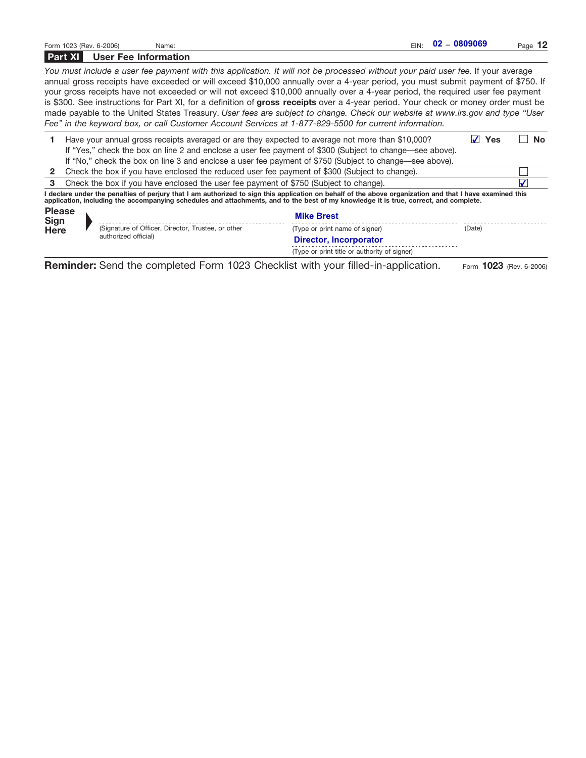| Form 1023 (Rev. 6-2006) |                             | Name:                                              |                                                                                                                                                                                                                                                                                                                                                                                                                                                                                                                                                                                                                                                                                                                                                                                     | EIN: |  | $02 - 0809069$ | Page 12   |
|-------------------------|-----------------------------|----------------------------------------------------|-------------------------------------------------------------------------------------------------------------------------------------------------------------------------------------------------------------------------------------------------------------------------------------------------------------------------------------------------------------------------------------------------------------------------------------------------------------------------------------------------------------------------------------------------------------------------------------------------------------------------------------------------------------------------------------------------------------------------------------------------------------------------------------|------|--|----------------|-----------|
| <b>Part XI</b>          | <b>User Fee Information</b> |                                                    |                                                                                                                                                                                                                                                                                                                                                                                                                                                                                                                                                                                                                                                                                                                                                                                     |      |  |                |           |
|                         |                             |                                                    | You must include a user fee payment with this application. It will not be processed without your paid user fee. If your average<br>annual gross receipts have exceeded or will exceed \$10,000 annually over a 4-year period, you must submit payment of \$750. If<br>your gross receipts have not exceeded or will not exceed \$10,000 annually over a 4-year period, the required user fee payment<br>is \$300. See instructions for Part XI, for a definition of gross receipts over a 4-year period. Your check or money order must be<br>made payable to the United States Treasury. User fees are subject to change. Check our website at www.irs.gov and type "User<br>Fee" in the keyword box, or call Customer Account Services at 1-877-829-5500 for current information. |      |  |                |           |
| 1                       |                             |                                                    | Have your annual gross receipts averaged or are they expected to average not more than \$10,000?<br>If "Yes," check the box on line 2 and enclose a user fee payment of \$300 (Subject to change—see above).<br>If "No," check the box on line 3 and enclose a user fee payment of \$750 (Subject to change—see above).                                                                                                                                                                                                                                                                                                                                                                                                                                                             |      |  | $\sqrt{ }$ Yes | <b>No</b> |
| $\overline{2}$          |                             |                                                    | Check the box if you have enclosed the reduced user fee payment of \$300 (Subject to change).                                                                                                                                                                                                                                                                                                                                                                                                                                                                                                                                                                                                                                                                                       |      |  |                |           |
| 3                       |                             |                                                    | Check the box if you have enclosed the user fee payment of \$750 (Subject to change).                                                                                                                                                                                                                                                                                                                                                                                                                                                                                                                                                                                                                                                                                               |      |  |                |           |
| <b>Please</b>           |                             |                                                    | I declare under the penalties of perjury that I am authorized to sign this application on behalf of the above organization and that I have examined this<br>application, including the accompanying schedules and attachments, and to the best of my knowledge it is true, correct, and complete.<br><b>Mike Brest</b>                                                                                                                                                                                                                                                                                                                                                                                                                                                              |      |  |                |           |
| Sign<br>Here            | authorized official)        | (Signature of Officer, Director, Trustee, or other | (Type or print name of signer)<br>(Date)<br>Director, Incorporator<br>(Type or print title or authority of signer)                                                                                                                                                                                                                                                                                                                                                                                                                                                                                                                                                                                                                                                                  |      |  |                |           |

Reminder: Send the completed Form 1023 Checklist with your filled-in-application. Form 1023 (Rev. 6-2006)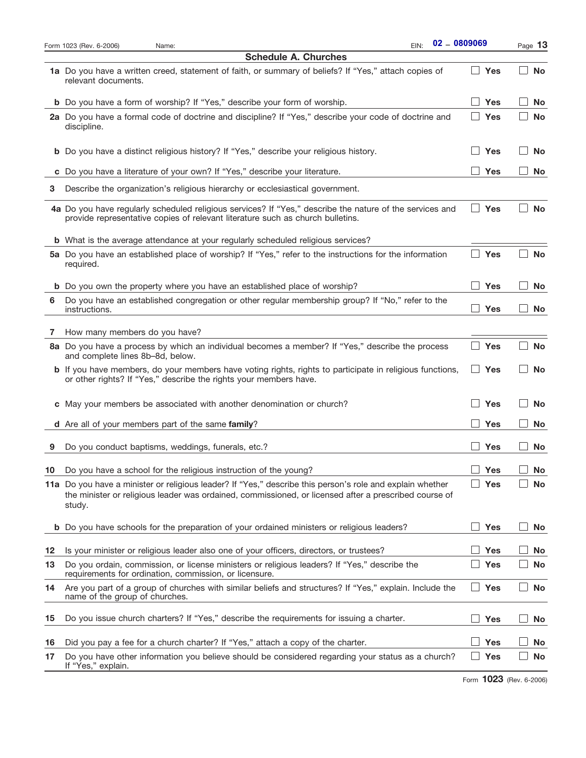|    | $02 - 0809069$<br>EIN:<br>Form 1023 (Rev. 6-2006)<br>Name:                                                                                                                                                                   |                      | Page 13   |
|----|------------------------------------------------------------------------------------------------------------------------------------------------------------------------------------------------------------------------------|----------------------|-----------|
|    | <b>Schedule A. Churches</b>                                                                                                                                                                                                  |                      |           |
|    | 1a Do you have a written creed, statement of faith, or summary of beliefs? If "Yes," attach copies of<br>relevant documents.                                                                                                 | <b>Yes</b>           | <b>No</b> |
|    | <b>b</b> Do you have a form of worship? If "Yes," describe your form of worship.                                                                                                                                             | <b>Yes</b>           | <b>No</b> |
|    | 2a Do you have a formal code of doctrine and discipline? If "Yes," describe your code of doctrine and<br>discipline.                                                                                                         | <b>Yes</b>           | <b>No</b> |
|    | <b>b</b> Do you have a distinct religious history? If "Yes," describe your religious history.                                                                                                                                | Yes                  | <b>No</b> |
|    | c Do you have a literature of your own? If "Yes," describe your literature.                                                                                                                                                  | <b>Yes</b>           | <b>No</b> |
| 3  | Describe the organization's religious hierarchy or ecclesiastical government.                                                                                                                                                |                      |           |
|    | 4a Do you have regularly scheduled religious services? If "Yes," describe the nature of the services and<br>provide representative copies of relevant literature such as church bulletins.                                   | $\blacksquare$ Yes   | <b>No</b> |
|    | <b>b</b> What is the average attendance at your regularly scheduled religious services?                                                                                                                                      |                      |           |
|    | 5a Do you have an established place of worship? If "Yes," refer to the instructions for the information<br>required.                                                                                                         | $\Box$ Yes           | <b>No</b> |
|    | <b>b</b> Do you own the property where you have an established place of worship?                                                                                                                                             | <b>Yes</b>           | No        |
| 6  | Do you have an established congregation or other regular membership group? If "No," refer to the<br>instructions.                                                                                                            | <b>Yes</b>           | <b>No</b> |
|    |                                                                                                                                                                                                                              |                      |           |
| 7  | How many members do you have?<br>8a Do you have a process by which an individual becomes a member? If "Yes," describe the process                                                                                            | $\Box$ Yes           | <b>No</b> |
|    | and complete lines 8b-8d, below.                                                                                                                                                                                             |                      |           |
|    | <b>b</b> If you have members, do your members have voting rights, rights to participate in religious functions,<br>or other rights? If "Yes," describe the rights your members have.                                         | Yes                  | <b>No</b> |
|    | c May your members be associated with another denomination or church?                                                                                                                                                        | Yes                  | <b>No</b> |
|    | d Are all of your members part of the same family?                                                                                                                                                                           | Yes                  | No        |
|    | Do you conduct baptisms, weddings, funerals, etc.?                                                                                                                                                                           | Yes                  | <b>No</b> |
| טו | Do you have a school for the religious instruction of the young?                                                                                                                                                             | $\Box$ Yes           | $\Box$ No |
|    | 11a Do you have a minister or religious leader? If "Yes," describe this person's role and explain whether<br>the minister or religious leader was ordained, commissioned, or licensed after a prescribed course of<br>study. | $\Box$<br><b>Yes</b> | No        |
|    | <b>b</b> Do you have schools for the preparation of your ordained ministers or religious leaders?                                                                                                                            | Yes                  | No        |
| 12 | Is your minister or religious leader also one of your officers, directors, or trustees?                                                                                                                                      | Yes                  | <b>No</b> |
| 13 | Do you ordain, commission, or license ministers or religious leaders? If "Yes," describe the<br>requirements for ordination, commission, or licensure.                                                                       | Yes                  | <b>No</b> |
| 14 | Are you part of a group of churches with similar beliefs and structures? If "Yes," explain. Include the<br>name of the group of churches.                                                                                    | <b>Yes</b><br>$\Box$ | No        |
| 15 | Do you issue church charters? If "Yes," describe the requirements for issuing a charter.                                                                                                                                     | Yes                  | No        |
| 16 | Did you pay a fee for a church charter? If "Yes," attach a copy of the charter.                                                                                                                                              | <b>Yes</b>           | <b>No</b> |
| 17 | Do you have other information you believe should be considered regarding your status as a church?<br>If "Yes," explain.                                                                                                      | <b>Yes</b>           | <b>No</b> |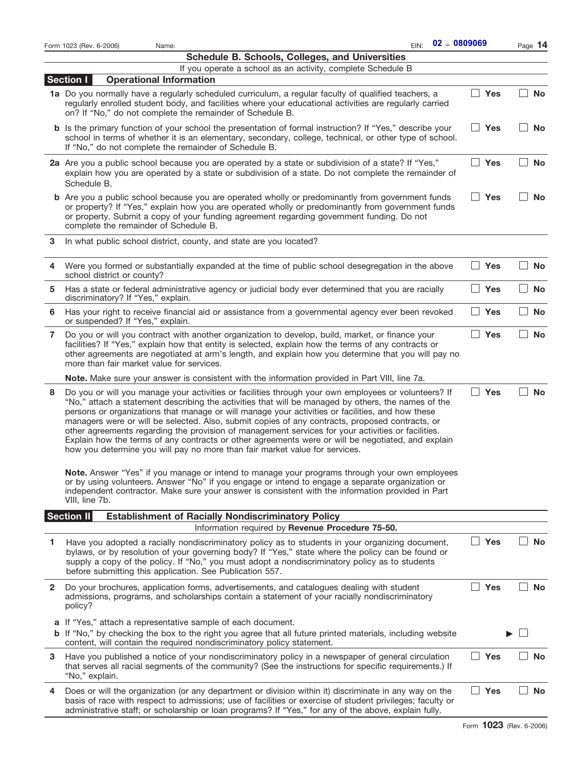|              | Form 1023 (Rev. 6-2006)                                                                                                                                                                                                                                                                                                                                                                                                                                                                                                                                                                                                                                                                                                                                                                                                                                                                                            | Name: |                                                             |  | EIN: | $02 - 0809069$ |            | Page 14   |
|--------------|--------------------------------------------------------------------------------------------------------------------------------------------------------------------------------------------------------------------------------------------------------------------------------------------------------------------------------------------------------------------------------------------------------------------------------------------------------------------------------------------------------------------------------------------------------------------------------------------------------------------------------------------------------------------------------------------------------------------------------------------------------------------------------------------------------------------------------------------------------------------------------------------------------------------|-------|-------------------------------------------------------------|--|------|----------------|------------|-----------|
|              |                                                                                                                                                                                                                                                                                                                                                                                                                                                                                                                                                                                                                                                                                                                                                                                                                                                                                                                    |       | <b>Schedule B. Schools, Colleges, and Universities</b>      |  |      |                |            |           |
|              |                                                                                                                                                                                                                                                                                                                                                                                                                                                                                                                                                                                                                                                                                                                                                                                                                                                                                                                    |       | If you operate a school as an activity, complete Schedule B |  |      |                |            |           |
|              | Section I<br><b>Operational Information</b><br>1a Do you normally have a regularly scheduled curriculum, a regular faculty of qualified teachers, a<br>regularly enrolled student body, and facilities where your educational activities are regularly carried<br>on? If "No," do not complete the remainder of Schedule B.                                                                                                                                                                                                                                                                                                                                                                                                                                                                                                                                                                                        |       |                                                             |  |      |                | <b>Nes</b> | <b>No</b> |
|              | <b>b</b> Is the primary function of your school the presentation of formal instruction? If "Yes," describe your<br>school in terms of whether it is an elementary, secondary, college, technical, or other type of school.<br>If "No," do not complete the remainder of Schedule B.                                                                                                                                                                                                                                                                                                                                                                                                                                                                                                                                                                                                                                |       |                                                             |  |      |                | $\Box$ Yes | <b>No</b> |
|              | 2a Are you a public school because you are operated by a state or subdivision of a state? If "Yes,"<br>explain how you are operated by a state or subdivision of a state. Do not complete the remainder of<br>Schedule B.                                                                                                                                                                                                                                                                                                                                                                                                                                                                                                                                                                                                                                                                                          |       |                                                             |  |      | $\Box$         | <b>Yes</b> | <b>No</b> |
|              | <b>b</b> Are you a public school because you are operated wholly or predominantly from government funds<br>or property? If "Yes," explain how you are operated wholly or predominantly from government funds<br>or property. Submit a copy of your funding agreement regarding government funding. Do not<br>complete the remainder of Schedule B.                                                                                                                                                                                                                                                                                                                                                                                                                                                                                                                                                                 |       |                                                             |  |      |                | $\Box$ Yes | <b>No</b> |
| 3            | In what public school district, county, and state are you located?                                                                                                                                                                                                                                                                                                                                                                                                                                                                                                                                                                                                                                                                                                                                                                                                                                                 |       |                                                             |  |      |                |            |           |
| 4            | Were you formed or substantially expanded at the time of public school desegregation in the above<br>school district or county?                                                                                                                                                                                                                                                                                                                                                                                                                                                                                                                                                                                                                                                                                                                                                                                    |       |                                                             |  |      |                | <b>Yes</b> | <b>No</b> |
| 5            | Has a state or federal administrative agency or judicial body ever determined that you are racially<br>discriminatory? If "Yes," explain.                                                                                                                                                                                                                                                                                                                                                                                                                                                                                                                                                                                                                                                                                                                                                                          |       |                                                             |  |      |                | <b>Yes</b> | <b>No</b> |
| 6            | Has your right to receive financial aid or assistance from a governmental agency ever been revoked<br>or suspended? If "Yes," explain.                                                                                                                                                                                                                                                                                                                                                                                                                                                                                                                                                                                                                                                                                                                                                                             |       |                                                             |  |      |                | <b>Yes</b> | <b>No</b> |
| 7            | Do you or will you contract with another organization to develop, build, market, or finance your<br>facilities? If "Yes," explain how that entity is selected, explain how the terms of any contracts or<br>other agreements are negotiated at arm's length, and explain how you determine that you will pay no<br>more than fair market value for services.                                                                                                                                                                                                                                                                                                                                                                                                                                                                                                                                                       |       |                                                             |  |      |                | <b>Yes</b> | <b>No</b> |
|              | Note. Make sure your answer is consistent with the information provided in Part VIII, line 7a.                                                                                                                                                                                                                                                                                                                                                                                                                                                                                                                                                                                                                                                                                                                                                                                                                     |       |                                                             |  |      |                |            |           |
| 8            | Do you or will you manage your activities or facilities through your own employees or volunteers? If<br>"No," attach a statement describing the activities that will be managed by others, the names of the<br>persons or organizations that manage or will manage your activities or facilities, and how these<br>managers were or will be selected. Also, submit copies of any contracts, proposed contracts, or<br>other agreements regarding the provision of management services for your activities or facilities.<br>Explain how the terms of any contracts or other agreements were or will be negotiated, and explain<br>how you determine you will pay no more than fair market value for services.<br>Note. Answer "Yes" if you manage or intend to manage your programs through your own employees<br>or by using volunteers. Answer "No" if you engage or intend to engage a separate organization or |       |                                                             |  |      |                | <b>Yes</b> | <b>No</b> |
|              | independent contractor. Make sure your answer is consistent with the information provided in Part<br>VIII, line 7b.                                                                                                                                                                                                                                                                                                                                                                                                                                                                                                                                                                                                                                                                                                                                                                                                |       |                                                             |  |      |                |            |           |
|              | <b>Section II</b>                                                                                                                                                                                                                                                                                                                                                                                                                                                                                                                                                                                                                                                                                                                                                                                                                                                                                                  |       | <b>Establishment of Racially Nondiscriminatory Policy</b>   |  |      |                |            |           |
|              |                                                                                                                                                                                                                                                                                                                                                                                                                                                                                                                                                                                                                                                                                                                                                                                                                                                                                                                    |       | Information required by Revenue Procedure 75-50.            |  |      |                |            |           |
| 1            | Have you adopted a racially nondiscriminatory policy as to students in your organizing document,<br>bylaws, or by resolution of your governing body? If "Yes," state where the policy can be found or<br>supply a copy of the policy. If "No," you must adopt a nondiscriminatory policy as to students<br>before submitting this application. See Publication 557.                                                                                                                                                                                                                                                                                                                                                                                                                                                                                                                                                |       |                                                             |  |      |                | <b>Yes</b> | <b>No</b> |
| $\mathbf{2}$ | Do your brochures, application forms, advertisements, and catalogues dealing with student<br>admissions, programs, and scholarships contain a statement of your racially nondiscriminatory<br>policy?                                                                                                                                                                                                                                                                                                                                                                                                                                                                                                                                                                                                                                                                                                              |       |                                                             |  |      |                | <b>Yes</b> | <b>No</b> |
| a            | If "Yes," attach a representative sample of each document.<br><b>b</b> If "No," by checking the box to the right you agree that all future printed materials, including website<br>content, will contain the required nondiscriminatory policy statement.                                                                                                                                                                                                                                                                                                                                                                                                                                                                                                                                                                                                                                                          |       |                                                             |  |      |                |            |           |
| 3            | Have you published a notice of your nondiscriminatory policy in a newspaper of general circulation<br>that serves all racial segments of the community? (See the instructions for specific requirements.) If<br>"No," explain.                                                                                                                                                                                                                                                                                                                                                                                                                                                                                                                                                                                                                                                                                     |       |                                                             |  |      | $\Box$         | <b>Yes</b> | <b>No</b> |
| 4            | Does or will the organization (or any department or division within it) discriminate in any way on the<br>basis of race with respect to admissions; use of facilities or exercise of student privileges; faculty or<br>administrative staff; or scholarship or loan programs? If "Yes," for any of the above, explain fully.                                                                                                                                                                                                                                                                                                                                                                                                                                                                                                                                                                                       |       |                                                             |  |      |                | $\Box$ Yes | No        |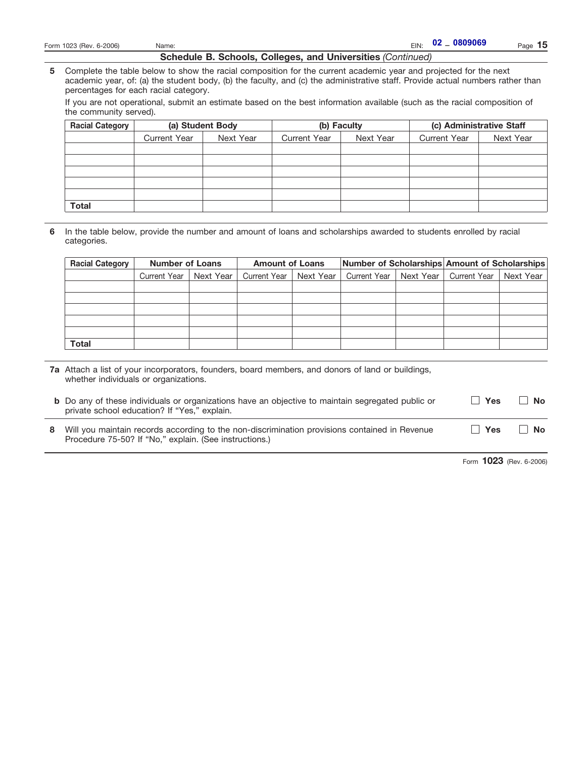#### **Schedule B. Schools, Colleges, and Universities** *(Continued)*

**5** Complete the table below to show the racial composition for the current academic year and projected for the next academic year, of: (a) the student body, (b) the faculty, and (c) the administrative staff. Provide actual numbers rather than percentages for each racial category.

If you are not operational, submit an estimate based on the best information available (such as the racial composition of the community served).

| <b>Racial Category</b> | (a) Student Body    |           |                     | (b) Faculty | (c) Administrative Staff |           |  |
|------------------------|---------------------|-----------|---------------------|-------------|--------------------------|-----------|--|
|                        | <b>Current Year</b> | Next Year | <b>Current Year</b> | Next Year   | <b>Current Year</b>      | Next Year |  |
|                        |                     |           |                     |             |                          |           |  |
|                        |                     |           |                     |             |                          |           |  |
|                        |                     |           |                     |             |                          |           |  |
|                        |                     |           |                     |             |                          |           |  |
|                        |                     |           |                     |             |                          |           |  |
| <b>Total</b>           |                     |           |                     |             |                          |           |  |

**6** In the table below, provide the number and amount of loans and scholarships awarded to students enrolled by racial categories.

| <b>Racial Category</b> | <b>Number of Loans</b> |           | <b>Amount of Loans</b> |           | Number of Scholarships Amount of Scholarships |  |              |           |
|------------------------|------------------------|-----------|------------------------|-----------|-----------------------------------------------|--|--------------|-----------|
|                        | Current Year           | Next Year | Current Year           | Next Year | Current Year   Next Year                      |  | Current Year | Next Year |
|                        |                        |           |                        |           |                                               |  |              |           |
|                        |                        |           |                        |           |                                               |  |              |           |
|                        |                        |           |                        |           |                                               |  |              |           |
|                        |                        |           |                        |           |                                               |  |              |           |
|                        |                        |           |                        |           |                                               |  |              |           |
| <b>Total</b>           |                        |           |                        |           |                                               |  |              |           |

**7a** Attach a list of your incorporators, founders, board members, and donors of land or buildings, whether individuals or organizations.

| <b>b</b> Do any of these individuals or organizations have an objective to maintain segregated public or<br>private school education? If "Yes," explain. | 'Yes                                                                                                | <b>No</b>    |
|----------------------------------------------------------------------------------------------------------------------------------------------------------|-----------------------------------------------------------------------------------------------------|--------------|
| 8 Will vou maintain records according to the non-discrimination provisions contained in Revenue                                                          | $\overline{\phantom{a}}$ $\overline{\phantom{a}}$ $\overline{\phantom{a}}$ $\overline{\phantom{a}}$ | $N_{\Omega}$ |

Will you maintain records according to the non-discrimination provisions contained in Revenue Procedure 75-50? If "No," explain. (See instructions.) **Yes No**

Form **1023** (Rev. 6-2006)

**02 0809069**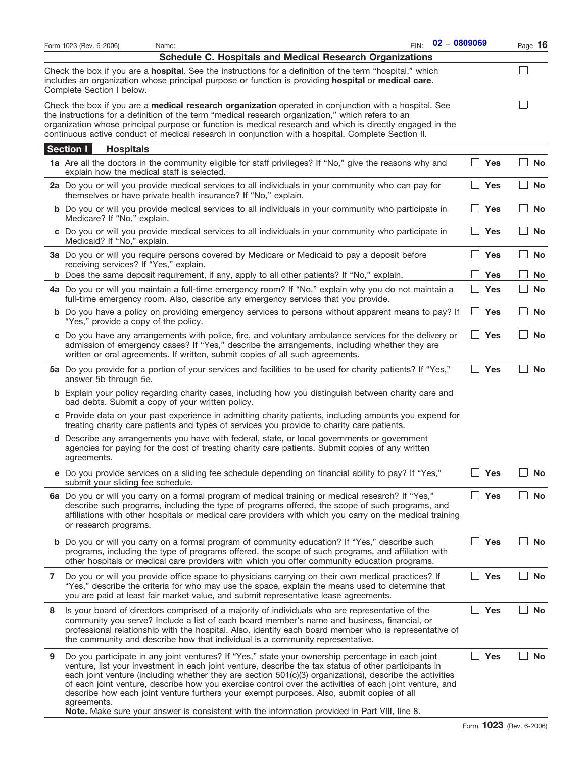|   | $02 - 0809069$<br>EIN:<br>Form 1023 (Rev. 6-2006)<br>Name:                                                                                                                                                                                                                                                                                                                                                                                                                                                                                                                                                                                     |            |                 | Page 16   |
|---|------------------------------------------------------------------------------------------------------------------------------------------------------------------------------------------------------------------------------------------------------------------------------------------------------------------------------------------------------------------------------------------------------------------------------------------------------------------------------------------------------------------------------------------------------------------------------------------------------------------------------------------------|------------|-----------------|-----------|
|   | <b>Schedule C. Hospitals and Medical Research Organizations</b>                                                                                                                                                                                                                                                                                                                                                                                                                                                                                                                                                                                |            |                 |           |
|   | Check the box if you are a <b>hospital</b> . See the instructions for a definition of the term "hospital," which<br>includes an organization whose principal purpose or function is providing hospital or medical care.<br>Complete Section I below.                                                                                                                                                                                                                                                                                                                                                                                           |            |                 |           |
|   | Check the box if you are a <b>medical research organization</b> operated in conjunction with a hospital. See<br>the instructions for a definition of the term "medical research organization," which refers to an<br>organization whose principal purpose or function is medical research and which is directly engaged in the<br>continuous active conduct of medical research in conjunction with a hospital. Complete Section II.                                                                                                                                                                                                           |            |                 |           |
|   | <b>Section I</b><br><b>Hospitals</b>                                                                                                                                                                                                                                                                                                                                                                                                                                                                                                                                                                                                           |            |                 |           |
|   | 1a Are all the doctors in the community eligible for staff privileges? If "No," give the reasons why and<br>explain how the medical staff is selected.                                                                                                                                                                                                                                                                                                                                                                                                                                                                                         | $\Box$ Yes | $\Box$          | <b>No</b> |
|   | 2a Do you or will you provide medical services to all individuals in your community who can pay for<br>themselves or have private health insurance? If "No," explain.                                                                                                                                                                                                                                                                                                                                                                                                                                                                          | Yes        | $\Box$          | <b>No</b> |
|   | <b>b</b> Do you or will you provide medical services to all individuals in your community who participate in<br>Medicare? If "No," explain.                                                                                                                                                                                                                                                                                                                                                                                                                                                                                                    | Yes        |                 | No        |
|   | c Do you or will you provide medical services to all individuals in your community who participate in<br>Medicaid? If "No," explain.                                                                                                                                                                                                                                                                                                                                                                                                                                                                                                           | Yes        |                 | <b>No</b> |
|   | 3a Do you or will you require persons covered by Medicare or Medicaid to pay a deposit before<br>receiving services? If "Yes," explain.                                                                                                                                                                                                                                                                                                                                                                                                                                                                                                        | Yes        |                 | $\Box$ No |
|   | <b>b</b> Does the same deposit requirement, if any, apply to all other patients? If "No," explain.                                                                                                                                                                                                                                                                                                                                                                                                                                                                                                                                             | Yes        | $\Box$          | <b>No</b> |
|   | 4a Do you or will you maintain a full-time emergency room? If "No," explain why you do not maintain a<br>full-time emergency room. Also, describe any emergency services that you provide.                                                                                                                                                                                                                                                                                                                                                                                                                                                     | Yes        | $\perp$         | <b>No</b> |
|   | <b>b</b> Do you have a policy on providing emergency services to persons without apparent means to pay? If<br>"Yes," provide a copy of the policy.                                                                                                                                                                                                                                                                                                                                                                                                                                                                                             | Yes        |                 | No        |
|   | c Do you have any arrangements with police, fire, and voluntary ambulance services for the delivery or<br>admission of emergency cases? If "Yes," describe the arrangements, including whether they are<br>written or oral agreements. If written, submit copies of all such agreements.                                                                                                                                                                                                                                                                                                                                                       | $\Box$ Yes |                 | $\Box$ No |
|   | 5a Do you provide for a portion of your services and facilities to be used for charity patients? If "Yes,"<br>answer 5b through 5e.                                                                                                                                                                                                                                                                                                                                                                                                                                                                                                            | $\Box$ Yes | $\Box$          | <b>No</b> |
|   | <b>b</b> Explain your policy regarding charity cases, including how you distinguish between charity care and<br>bad debts. Submit a copy of your written policy.                                                                                                                                                                                                                                                                                                                                                                                                                                                                               |            |                 |           |
|   | c Provide data on your past experience in admitting charity patients, including amounts you expend for<br>treating charity care patients and types of services you provide to charity care patients.                                                                                                                                                                                                                                                                                                                                                                                                                                           |            |                 |           |
|   | d Describe any arrangements you have with federal, state, or local governments or government<br>agencies for paying for the cost of treating charity care patients. Submit copies of any written<br>agreements.                                                                                                                                                                                                                                                                                                                                                                                                                                |            |                 |           |
|   | e Do you provide services on a sliding fee schedule depending on financial ability to pay? If "Yes,"<br>submit your sliding fee schedule.                                                                                                                                                                                                                                                                                                                                                                                                                                                                                                      | <b>Yes</b> |                 | $\Box$ No |
|   | 6a Do you or will you carry on a formal program of medical training or medical research? If "Yes,"<br>describe such programs, including the type of programs offered, the scope of such programs, and<br>affiliations with other hospitals or medical care providers with which you carry on the medical training<br>or research programs.                                                                                                                                                                                                                                                                                                     | Yes        | $\Box$          | <b>No</b> |
|   | <b>b</b> Do you or will you carry on a formal program of community education? If "Yes," describe such<br>programs, including the type of programs offered, the scope of such programs, and affiliation with<br>other hospitals or medical care providers with which you offer community education programs.                                                                                                                                                                                                                                                                                                                                    | $\Box$ Yes |                 | <b>No</b> |
| 7 | Do you or will you provide office space to physicians carrying on their own medical practices? If<br>"Yes," describe the criteria for who may use the space, explain the means used to determine that<br>you are paid at least fair market value, and submit representative lease agreements.                                                                                                                                                                                                                                                                                                                                                  | $\Box$ Yes | $\perp$         | No        |
| 8 | Is your board of directors comprised of a majority of individuals who are representative of the<br>community you serve? Include a list of each board member's name and business, financial, or<br>professional relationship with the hospital. Also, identify each board member who is representative of<br>the community and describe how that individual is a community representative.                                                                                                                                                                                                                                                      | Yes        | $\perp$         | <b>No</b> |
| 9 | Do you participate in any joint ventures? If "Yes," state your ownership percentage in each joint<br>venture, list your investment in each joint venture, describe the tax status of other participants in<br>each joint venture (including whether they are section 501(c)(3) organizations), describe the activities<br>of each joint venture, describe how you exercise control over the activities of each joint venture, and<br>describe how each joint venture furthers your exempt purposes. Also, submit copies of all<br>agreements.<br>Note. Make sure your answer is consistent with the information provided in Part VIII, line 8. | Yes        | $\vert$ $\vert$ | <b>No</b> |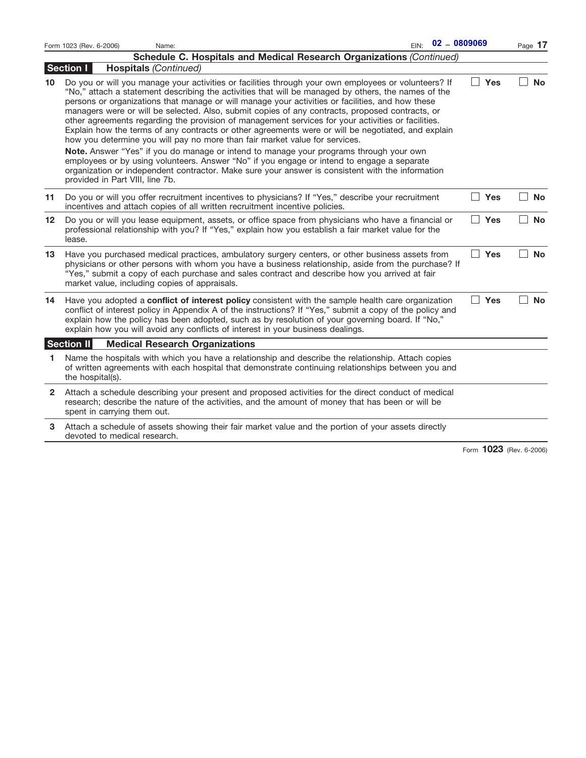|                  | Form 1023 (Rev. 6-2006)                                                                                                                                                                                                                                                                                                                                                                                                                                                                                                                                                                                                                                                                                                                                                                                 |  | Name:                                                                       |                                                                                                                                                                                                                                                                                                                                                                                                       | EIN: | $02 - 0809069$ |                      | Page 17   |
|------------------|---------------------------------------------------------------------------------------------------------------------------------------------------------------------------------------------------------------------------------------------------------------------------------------------------------------------------------------------------------------------------------------------------------------------------------------------------------------------------------------------------------------------------------------------------------------------------------------------------------------------------------------------------------------------------------------------------------------------------------------------------------------------------------------------------------|--|-----------------------------------------------------------------------------|-------------------------------------------------------------------------------------------------------------------------------------------------------------------------------------------------------------------------------------------------------------------------------------------------------------------------------------------------------------------------------------------------------|------|----------------|----------------------|-----------|
|                  |                                                                                                                                                                                                                                                                                                                                                                                                                                                                                                                                                                                                                                                                                                                                                                                                         |  |                                                                             | Schedule C. Hospitals and Medical Research Organizations (Continued)                                                                                                                                                                                                                                                                                                                                  |      |                |                      |           |
|                  | <b>Section I</b>                                                                                                                                                                                                                                                                                                                                                                                                                                                                                                                                                                                                                                                                                                                                                                                        |  | <b>Hospitals (Continued)</b>                                                |                                                                                                                                                                                                                                                                                                                                                                                                       |      |                |                      |           |
| 10               | Do you or will you manage your activities or facilities through your own employees or volunteers? If<br>"No," attach a statement describing the activities that will be managed by others, the names of the<br>persons or organizations that manage or will manage your activities or facilities, and how these<br>managers were or will be selected. Also, submit copies of any contracts, proposed contracts, or<br>other agreements regarding the provision of management services for your activities or facilities.<br>Explain how the terms of any contracts or other agreements were or will be negotiated, and explain<br>how you determine you will pay no more than fair market value for services.<br>Note. Answer "Yes" if you do manage or intend to manage your programs through your own |  |                                                                             |                                                                                                                                                                                                                                                                                                                                                                                                       |      |                | Yes                  | <b>No</b> |
|                  |                                                                                                                                                                                                                                                                                                                                                                                                                                                                                                                                                                                                                                                                                                                                                                                                         |  | provided in Part VIII, line 7b.                                             | employees or by using volunteers. Answer "No" if you engage or intend to engage a separate<br>organization or independent contractor. Make sure your answer is consistent with the information                                                                                                                                                                                                        |      |                |                      |           |
| 11               |                                                                                                                                                                                                                                                                                                                                                                                                                                                                                                                                                                                                                                                                                                                                                                                                         |  | incentives and attach copies of all written recruitment incentive policies. | Do you or will you offer recruitment incentives to physicians? If "Yes," describe your recruitment                                                                                                                                                                                                                                                                                                    |      |                | $\Box$ Yes           | <b>No</b> |
| 12 <sup>12</sup> | lease.                                                                                                                                                                                                                                                                                                                                                                                                                                                                                                                                                                                                                                                                                                                                                                                                  |  |                                                                             | Do you or will you lease equipment, assets, or office space from physicians who have a financial or<br>professional relationship with you? If "Yes," explain how you establish a fair market value for the                                                                                                                                                                                            |      |                | <b>Yes</b>           | <b>No</b> |
| 13               |                                                                                                                                                                                                                                                                                                                                                                                                                                                                                                                                                                                                                                                                                                                                                                                                         |  | market value, including copies of appraisals.                               | Have you purchased medical practices, ambulatory surgery centers, or other business assets from<br>physicians or other persons with whom you have a business relationship, aside from the purchase? If<br>"Yes," submit a copy of each purchase and sales contract and describe how you arrived at fair                                                                                               |      |                | <b>Yes</b><br>$\Box$ | <b>No</b> |
| 14               |                                                                                                                                                                                                                                                                                                                                                                                                                                                                                                                                                                                                                                                                                                                                                                                                         |  |                                                                             | Have you adopted a conflict of interest policy consistent with the sample health care organization<br>conflict of interest policy in Appendix A of the instructions? If "Yes," submit a copy of the policy and<br>explain how the policy has been adopted, such as by resolution of your governing board. If "No,"<br>explain how you will avoid any conflicts of interest in your business dealings. |      |                | $\Box$ Yes           | <b>No</b> |
|                  | <b>Section II</b>                                                                                                                                                                                                                                                                                                                                                                                                                                                                                                                                                                                                                                                                                                                                                                                       |  | <b>Medical Research Organizations</b>                                       |                                                                                                                                                                                                                                                                                                                                                                                                       |      |                |                      |           |
| 1.               | the hospital(s).                                                                                                                                                                                                                                                                                                                                                                                                                                                                                                                                                                                                                                                                                                                                                                                        |  |                                                                             | Name the hospitals with which you have a relationship and describe the relationship. Attach copies<br>of written agreements with each hospital that demonstrate continuing relationships between you and                                                                                                                                                                                              |      |                |                      |           |
| $\mathbf{2}^-$   |                                                                                                                                                                                                                                                                                                                                                                                                                                                                                                                                                                                                                                                                                                                                                                                                         |  | spent in carrying them out.                                                 | Attach a schedule describing your present and proposed activities for the direct conduct of medical<br>research; describe the nature of the activities, and the amount of money that has been or will be                                                                                                                                                                                              |      |                |                      |           |
| 3.               |                                                                                                                                                                                                                                                                                                                                                                                                                                                                                                                                                                                                                                                                                                                                                                                                         |  | devoted to medical research.                                                | Attach a schedule of assets showing their fair market value and the portion of your assets directly                                                                                                                                                                                                                                                                                                   |      |                |                      |           |
|                  |                                                                                                                                                                                                                                                                                                                                                                                                                                                                                                                                                                                                                                                                                                                                                                                                         |  |                                                                             |                                                                                                                                                                                                                                                                                                                                                                                                       |      |                |                      |           |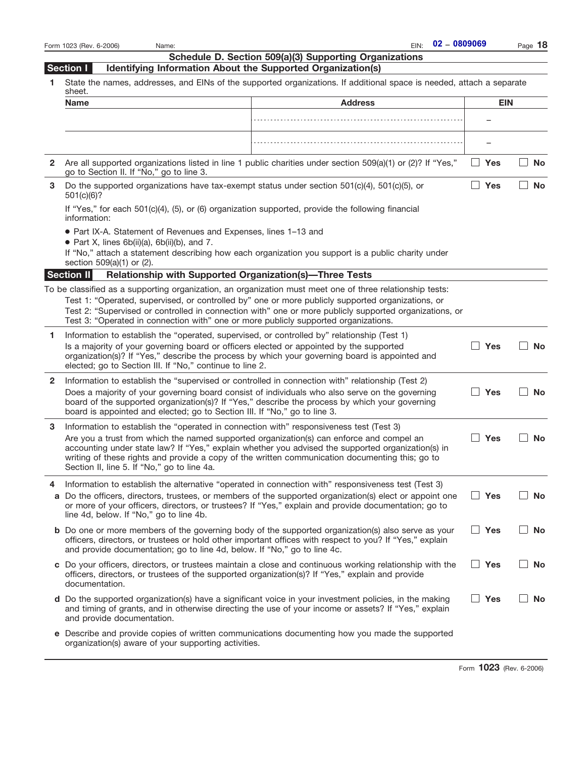|              | <b>Section I</b><br>Identifying Information About the Supported Organization(s)                                                                                                                                                    | Schedule D. Section 509(a)(3) Supporting Organizations                                                                                                                                                                                                                                                                   |                              |                             |
|--------------|------------------------------------------------------------------------------------------------------------------------------------------------------------------------------------------------------------------------------------|--------------------------------------------------------------------------------------------------------------------------------------------------------------------------------------------------------------------------------------------------------------------------------------------------------------------------|------------------------------|-----------------------------|
| 1.           | sheet.                                                                                                                                                                                                                             | State the names, addresses, and EINs of the supported organizations. If additional space is needed, attach a separate                                                                                                                                                                                                    |                              |                             |
|              | <b>Name</b>                                                                                                                                                                                                                        | <b>Address</b>                                                                                                                                                                                                                                                                                                           | <b>EIN</b>                   |                             |
|              |                                                                                                                                                                                                                                    |                                                                                                                                                                                                                                                                                                                          |                              |                             |
|              |                                                                                                                                                                                                                                    |                                                                                                                                                                                                                                                                                                                          |                              |                             |
| $\mathbf{2}$ | go to Section II. If "No," go to line 3.                                                                                                                                                                                           | Are all supported organizations listed in line 1 public charities under section 509(a)(1) or (2)? If "Yes,"                                                                                                                                                                                                              | $\Box$<br><b>Yes</b>         | $\Box$<br><b>No</b>         |
| 3            | Do the supported organizations have tax-exempt status under section $501(c)(4)$ , $501(c)(5)$ , or<br>501(c)(6)?                                                                                                                   |                                                                                                                                                                                                                                                                                                                          | $\Box$ Yes                   | $\Box$<br><b>No</b>         |
|              | If "Yes," for each 501(c)(4), (5), or (6) organization supported, provide the following financial<br>information:                                                                                                                  |                                                                                                                                                                                                                                                                                                                          |                              |                             |
|              | • Part IX-A. Statement of Revenues and Expenses, lines 1-13 and<br>$\bullet$ Part X, lines 6b(ii)(a), 6b(ii)(b), and 7.                                                                                                            | If "No," attach a statement describing how each organization you support is a public charity under                                                                                                                                                                                                                       |                              |                             |
|              | section 509(a)(1) or (2).                                                                                                                                                                                                          |                                                                                                                                                                                                                                                                                                                          |                              |                             |
|              | Section II<br>Relationship with Supported Organization(s)-Three Tests                                                                                                                                                              |                                                                                                                                                                                                                                                                                                                          |                              |                             |
|              | Test 3: "Operated in connection with" one or more publicly supported organizations.                                                                                                                                                | To be classified as a supporting organization, an organization must meet one of three relationship tests:<br>Test 1: "Operated, supervised, or controlled by" one or more publicly supported organizations, or<br>Test 2: "Supervised or controlled in connection with" one or more publicly supported organizations, or |                              |                             |
| $1 \quad$    | Information to establish the "operated, supervised, or controlled by" relationship (Test 1)                                                                                                                                        |                                                                                                                                                                                                                                                                                                                          |                              |                             |
|              | Is a majority of your governing board or officers elected or appointed by the supported<br>elected; go to Section III. If "No," continue to line 2.                                                                                | organization(s)? If "Yes," describe the process by which your governing board is appointed and                                                                                                                                                                                                                           | $\Box$<br><b>Yes</b>         | $\Box$<br><b>No</b>         |
|              | 2 Information to establish the "supervised or controlled in connection with" relationship (Test 2)<br>board is appointed and elected; go to Section III. If "No," go to line 3.                                                    | Does a majority of your governing board consist of individuals who also serve on the governing<br>board of the supported organization(s)? If "Yes," describe the process by which your governing                                                                                                                         | <b>Yes</b><br>$\blacksquare$ | <b>No</b>                   |
| 3            | Information to establish the "operated in connection with" responsiveness test (Test 3)<br>Are you a trust from which the named supported organization(s) can enforce and compel an<br>Section II, line 5. If "No," go to line 4a. | accounting under state law? If "Yes," explain whether you advised the supported organization(s) in<br>writing of these rights and provide a copy of the written communication documenting this; go to                                                                                                                    | $\Box$ Yes                   | $\blacksquare$<br><b>No</b> |
| 4            |                                                                                                                                                                                                                                    | Information to establish the alternative "operated in connection with" responsiveness test (Test 3)                                                                                                                                                                                                                      |                              |                             |
|              | line 4d, below. If "No," go to line 4b.                                                                                                                                                                                            | a Do the officers, directors, trustees, or members of the supported organization(s) elect or appoint one<br>or more of your officers, directors, or trustees? If "Yes," explain and provide documentation; go to                                                                                                         | <b>」Yes</b>                  | <b>No</b>                   |
|              | and provide documentation; go to line 4d, below. If "No," go to line 4c.                                                                                                                                                           | <b>b</b> Do one or more members of the governing body of the supported organization(s) also serve as your<br>officers, directors, or trustees or hold other important offices with respect to you? If "Yes," explain                                                                                                     | $\Box$ Yes                   | <b>No</b>                   |
|              | officers, directors, or trustees of the supported organization(s)? If "Yes," explain and provide<br>documentation.                                                                                                                 | c Do your officers, directors, or trustees maintain a close and continuous working relationship with the                                                                                                                                                                                                                 | $\Box$ Yes                   | <b>No</b>                   |
|              | and provide documentation.                                                                                                                                                                                                         | d Do the supported organization(s) have a significant voice in your investment policies, in the making<br>and timing of grants, and in otherwise directing the use of your income or assets? If "Yes," explain                                                                                                           | $\Box$ Yes                   | <b>No</b>                   |
|              | organization(s) aware of your supporting activities.                                                                                                                                                                               | e Describe and provide copies of written communications documenting how you made the supported                                                                                                                                                                                                                           |                              |                             |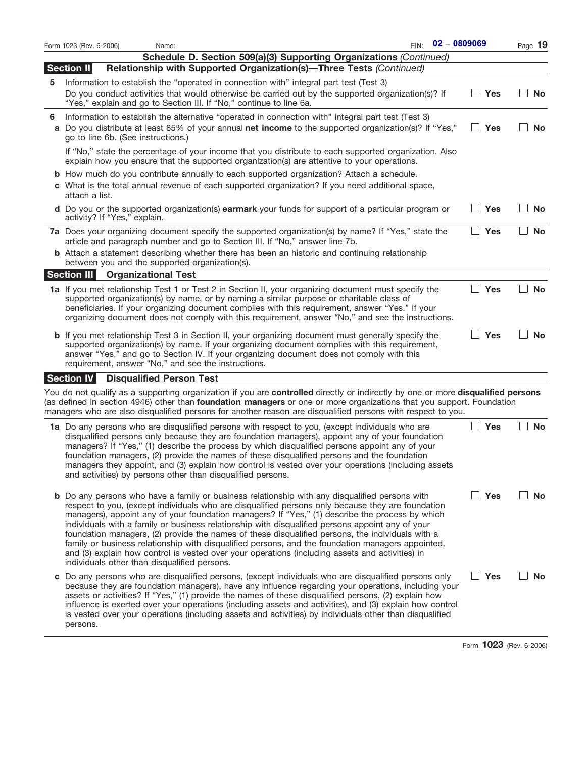|   | Form 1023 (Rev. 6-2006)<br>Name:                                                                                                                                                                                                                                                                                                                                                                                                                                                                                                                                                                                                                                                                                                                                              | $02 - 0809069$<br>EIN: |                    |            | Page 19                  |           |
|---|-------------------------------------------------------------------------------------------------------------------------------------------------------------------------------------------------------------------------------------------------------------------------------------------------------------------------------------------------------------------------------------------------------------------------------------------------------------------------------------------------------------------------------------------------------------------------------------------------------------------------------------------------------------------------------------------------------------------------------------------------------------------------------|------------------------|--------------------|------------|--------------------------|-----------|
|   | Schedule D. Section 509(a)(3) Supporting Organizations (Continued)                                                                                                                                                                                                                                                                                                                                                                                                                                                                                                                                                                                                                                                                                                            |                        |                    |            |                          |           |
|   | Relationship with Supported Organization(s)-Three Tests (Continued)<br><b>Section II</b>                                                                                                                                                                                                                                                                                                                                                                                                                                                                                                                                                                                                                                                                                      |                        |                    |            |                          |           |
| 5 | Information to establish the "operated in connection with" integral part test (Test 3)<br>Do you conduct activities that would otherwise be carried out by the supported organization(s)? If<br>"Yes," explain and go to Section III. If "No," continue to line 6a.                                                                                                                                                                                                                                                                                                                                                                                                                                                                                                           |                        | $\Box$ Yes         |            |                          | No        |
| 6 | Information to establish the alternative "operated in connection with" integral part test (Test 3)<br>a Do you distribute at least 85% of your annual net income to the supported organization(s)? If "Yes,"<br>go to line 6b. (See instructions.)                                                                                                                                                                                                                                                                                                                                                                                                                                                                                                                            |                        |                    | Yes        |                          | No        |
|   | If "No," state the percentage of your income that you distribute to each supported organization. Also<br>explain how you ensure that the supported organization(s) are attentive to your operations.                                                                                                                                                                                                                                                                                                                                                                                                                                                                                                                                                                          |                        |                    |            |                          |           |
|   | <b>b</b> How much do you contribute annually to each supported organization? Attach a schedule.                                                                                                                                                                                                                                                                                                                                                                                                                                                                                                                                                                                                                                                                               |                        |                    |            |                          |           |
|   | c What is the total annual revenue of each supported organization? If you need additional space,<br>attach a list.                                                                                                                                                                                                                                                                                                                                                                                                                                                                                                                                                                                                                                                            |                        |                    |            |                          |           |
|   | d Do you or the supported organization(s) earmark your funds for support of a particular program or<br>activity? If "Yes," explain.                                                                                                                                                                                                                                                                                                                                                                                                                                                                                                                                                                                                                                           |                        | $\Box$ Yes         |            |                          | <b>No</b> |
|   | <b>7a</b> Does your organizing document specify the supported organization(s) by name? If "Yes," state the<br>article and paragraph number and go to Section III. If "No," answer line 7b.                                                                                                                                                                                                                                                                                                                                                                                                                                                                                                                                                                                    |                        | $\blacksquare$ Yes |            | $\Box$                   | No        |
|   | <b>b</b> Attach a statement describing whether there has been an historic and continuing relationship<br>between you and the supported organization(s).                                                                                                                                                                                                                                                                                                                                                                                                                                                                                                                                                                                                                       |                        |                    |            |                          |           |
|   | Section III<br><b>Organizational Test</b>                                                                                                                                                                                                                                                                                                                                                                                                                                                                                                                                                                                                                                                                                                                                     |                        |                    |            |                          |           |
|   | 1a If you met relationship Test 1 or Test 2 in Section II, your organizing document must specify the<br>supported organization(s) by name, or by naming a similar purpose or charitable class of<br>beneficiaries. If your organizing document complies with this requirement, answer "Yes." If your<br>organizing document does not comply with this requirement, answer "No," and see the instructions.                                                                                                                                                                                                                                                                                                                                                                     |                        |                    | Yes        | $\blacksquare$           | <b>No</b> |
|   | <b>b</b> If you met relationship Test 3 in Section II, your organizing document must generally specify the<br>supported organization(s) by name. If your organizing document complies with this requirement,<br>answer "Yes," and go to Section IV. If your organizing document does not comply with this<br>requirement, answer "No," and see the instructions.                                                                                                                                                                                                                                                                                                                                                                                                              |                        |                    | <b>Yes</b> |                          | <b>No</b> |
|   | <b>Section IV</b><br><b>Disqualified Person Test</b>                                                                                                                                                                                                                                                                                                                                                                                                                                                                                                                                                                                                                                                                                                                          |                        |                    |            |                          |           |
|   | You do not qualify as a supporting organization if you are controlled directly or indirectly by one or more disqualified persons<br>(as defined in section 4946) other than <b>foundation managers</b> or one or more organizations that you support. Foundation<br>managers who are also disqualified persons for another reason are disqualified persons with respect to you.                                                                                                                                                                                                                                                                                                                                                                                               |                        |                    |            |                          |           |
|   | 1a Do any persons who are disqualified persons with respect to you, (except individuals who are<br>disqualified persons only because they are foundation managers), appoint any of your foundation<br>managers? If "Yes," (1) describe the process by which disqualified persons appoint any of your<br>foundation managers, (2) provide the names of these disqualified persons and the foundation<br>managers they appoint, and (3) explain how control is vested over your operations (including assets<br>and activities) by persons other than disqualified persons.                                                                                                                                                                                                     |                        | $\Box$ Yes         |            | H                        | No        |
|   | <b>b</b> Do any persons who have a family or business relationship with any disqualified persons with<br>respect to you, (except individuals who are disqualified persons only because they are foundation<br>managers), appoint any of your foundation managers? If "Yes," (1) describe the process by which<br>individuals with a family or business relationship with disqualified persons appoint any of your<br>foundation managers, (2) provide the names of these disqualified persons, the individuals with a<br>family or business relationship with disqualified persons, and the foundation managers appointed,<br>and (3) explain how control is vested over your operations (including assets and activities) in<br>individuals other than disqualified persons. |                        | $\Box$ Yes         |            | $\Box$                   | <b>No</b> |
|   | c Do any persons who are disqualified persons, (except individuals who are disqualified persons only<br>because they are foundation managers), have any influence regarding your operations, including your<br>assets or activities? If "Yes," (1) provide the names of these disqualified persons, (2) explain how<br>influence is exerted over your operations (including assets and activities), and (3) explain how control<br>is vested over your operations (including assets and activities) by individuals other than disqualified<br>persons.                                                                                                                                                                                                                        |                        | $\Box$ Yes         |            | $\overline{\phantom{0}}$ | <b>No</b> |
|   |                                                                                                                                                                                                                                                                                                                                                                                                                                                                                                                                                                                                                                                                                                                                                                               |                        |                    |            |                          |           |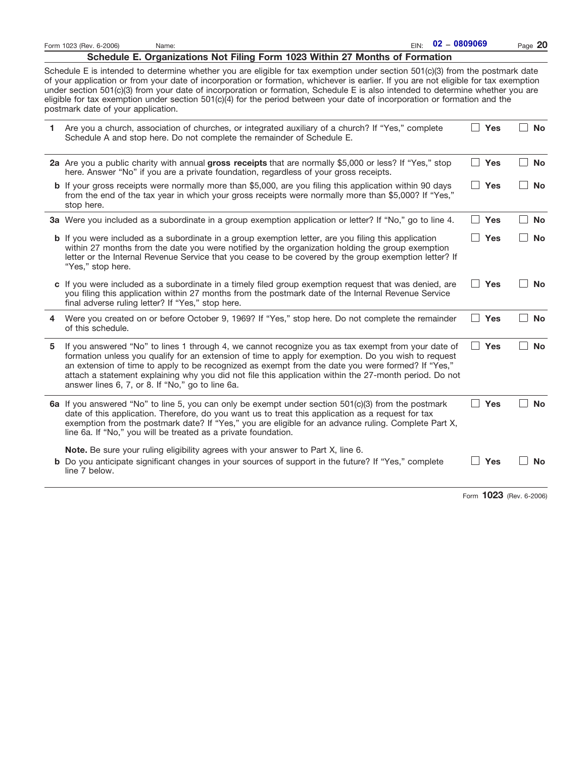|    | EIN:<br>Form 1023 (Rev. 6-2006)<br>Name:                                                                                                                                                                                                                                                                                                                                                                                                                                                                                                                                     | $02 - 0809069$ | Page 20                     |
|----|------------------------------------------------------------------------------------------------------------------------------------------------------------------------------------------------------------------------------------------------------------------------------------------------------------------------------------------------------------------------------------------------------------------------------------------------------------------------------------------------------------------------------------------------------------------------------|----------------|-----------------------------|
|    | Schedule E. Organizations Not Filing Form 1023 Within 27 Months of Formation                                                                                                                                                                                                                                                                                                                                                                                                                                                                                                 |                |                             |
|    | Schedule E is intended to determine whether you are eligible for tax exemption under section 501(c)(3) from the postmark date<br>of your application or from your date of incorporation or formation, whichever is earlier. If you are not eligible for tax exemption<br>under section 501(c)(3) from your date of incorporation or formation, Schedule E is also intended to determine whether you are<br>eligible for tax exemption under section $501(c)(4)$ for the period between your date of incorporation or formation and the<br>postmark date of your application. |                |                             |
| 1. | Are you a church, association of churches, or integrated auxiliary of a church? If "Yes," complete<br>Schedule A and stop here. Do not complete the remainder of Schedule E.                                                                                                                                                                                                                                                                                                                                                                                                 | l l Yes        | $\blacksquare$<br><b>No</b> |
|    | 2a Are you a public charity with annual gross receipts that are normally \$5,000 or less? If "Yes," stop<br>here. Answer "No" if you are a private foundation, regardless of your gross receipts.                                                                                                                                                                                                                                                                                                                                                                            | $\Box$ Yes     | <b>No</b><br>$\perp$        |
|    | <b>b</b> If your gross receipts were normally more than \$5,000, are you filing this application within 90 days<br>from the end of the tax year in which your gross receipts were normally more than \$5,000? If "Yes,"<br>stop here.                                                                                                                                                                                                                                                                                                                                        | $\Box$ Yes     | <b>No</b>                   |
|    | 3a Were you included as a subordinate in a group exemption application or letter? If "No," go to line 4.                                                                                                                                                                                                                                                                                                                                                                                                                                                                     | Yes            | <b>No</b>                   |
|    | <b>b</b> If you were included as a subordinate in a group exemption letter, are you filing this application<br>within 27 months from the date you were notified by the organization holding the group exemption<br>letter or the Internal Revenue Service that you cease to be covered by the group exemption letter? If<br>"Yes," stop here.                                                                                                                                                                                                                                | Yes            | <b>No</b>                   |
|    | c If you were included as a subordinate in a timely filed group exemption request that was denied, are<br>you filing this application within 27 months from the postmark date of the Internal Revenue Service<br>final adverse ruling letter? If "Yes," stop here.                                                                                                                                                                                                                                                                                                           | ∣ ∣ Yes        | <b>No</b>                   |
| 4  | Were you created on or before October 9, 1969? If "Yes," stop here. Do not complete the remainder<br>of this schedule.                                                                                                                                                                                                                                                                                                                                                                                                                                                       | $\Box$ Yes     | <b>No</b><br>$\perp$        |
| 5  | If you answered "No" to lines 1 through 4, we cannot recognize you as tax exempt from your date of<br>formation unless you qualify for an extension of time to apply for exemption. Do you wish to request<br>an extension of time to apply to be recognized as exempt from the date you were formed? If "Yes,"<br>attach a statement explaining why you did not file this application within the 27-month period. Do not<br>answer lines 6, 7, or 8. If "No," go to line 6a.                                                                                                | $\Box$ Yes     | <b>No</b><br>$\Box$         |
|    | 6a If you answered "No" to line 5, you can only be exempt under section $501(c)(3)$ from the postmark<br>date of this application. Therefore, do you want us to treat this application as a request for tax<br>exemption from the postmark date? If "Yes," you are eligible for an advance ruling. Complete Part X,<br>line 6a. If "No," you will be treated as a private foundation.                                                                                                                                                                                        | $\Box$ Yes     | <b>No</b><br>H              |
|    | <b>Note.</b> Be sure your ruling eligibility agrees with your answer to Part X, line 6.<br><b>b</b> Do you anticipate significant changes in your sources of support in the future? If "Yes," complete<br>line 7 below.                                                                                                                                                                                                                                                                                                                                                      | Yes            | <b>No</b>                   |
|    |                                                                                                                                                                                                                                                                                                                                                                                                                                                                                                                                                                              |                |                             |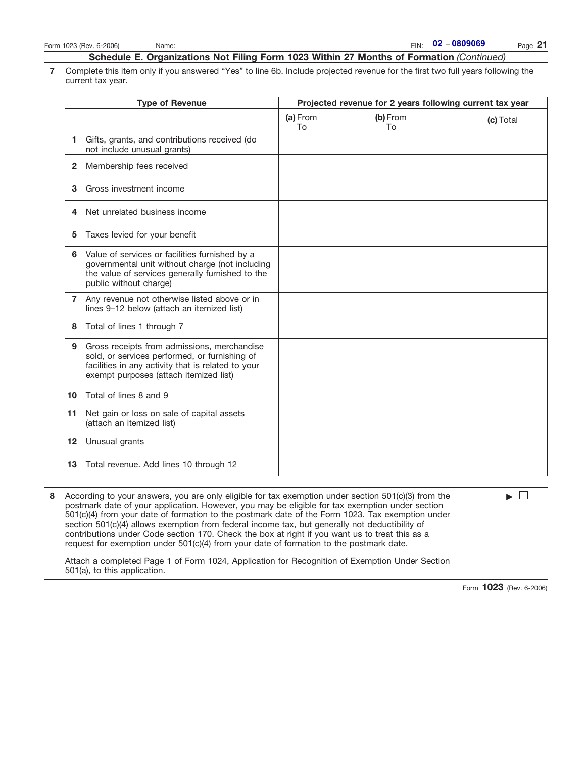#### **Schedule E. Organizations Not Filing Form 1023 Within 27 Months of Formation** *(Continued)*

**7** Complete this item only if you answered "Yes" to line 6b. Include projected revenue for the first two full years following the current tax year.

|    | <b>Type of Revenue</b>                                                                                                                                                                       |                | Projected revenue for 2 years following current tax year |           |
|----|----------------------------------------------------------------------------------------------------------------------------------------------------------------------------------------------|----------------|----------------------------------------------------------|-----------|
|    |                                                                                                                                                                                              | (a) From<br>To | (b) From<br>To                                           | (c) Total |
| 1  | Gifts, grants, and contributions received (do<br>not include unusual grants)                                                                                                                 |                |                                                          |           |
| 2  | Membership fees received                                                                                                                                                                     |                |                                                          |           |
| 3  | Gross investment income                                                                                                                                                                      |                |                                                          |           |
| 4  | Net unrelated business income                                                                                                                                                                |                |                                                          |           |
| 5  | Taxes levied for your benefit                                                                                                                                                                |                |                                                          |           |
| 6  | Value of services or facilities furnished by a<br>governmental unit without charge (not including<br>the value of services generally furnished to the<br>public without charge)              |                |                                                          |           |
|    | 7 Any revenue not otherwise listed above or in<br>lines 9-12 below (attach an itemized list)                                                                                                 |                |                                                          |           |
| 8  | Total of lines 1 through 7                                                                                                                                                                   |                |                                                          |           |
| 9  | Gross receipts from admissions, merchandise<br>sold, or services performed, or furnishing of<br>facilities in any activity that is related to your<br>exempt purposes (attach itemized list) |                |                                                          |           |
| 10 | Total of lines 8 and 9                                                                                                                                                                       |                |                                                          |           |
| 11 | Net gain or loss on sale of capital assets<br>(attach an itemized list)                                                                                                                      |                |                                                          |           |
|    | 12 Unusual grants                                                                                                                                                                            |                |                                                          |           |
| 13 | Total revenue. Add lines 10 through 12                                                                                                                                                       |                |                                                          |           |

**8** According to your answers, you are only eligible for tax exemption under section 501(c)(3) from the postmark date of your application. However, you may be eligible for tax exemption under section 501(c)(4) from your date of formation to the postmark date of the Form 1023. Tax exemption under section 501(c)(4) allows exemption from federal income tax, but generally not deductibility of contributions under Code section 170. Check the box at right if you want us to treat this as a request for exemption under 501(c)(4) from your date of formation to the postmark date.

-

Attach a completed Page 1 of Form 1024, Application for Recognition of Exemption Under Section 501(a), to this application.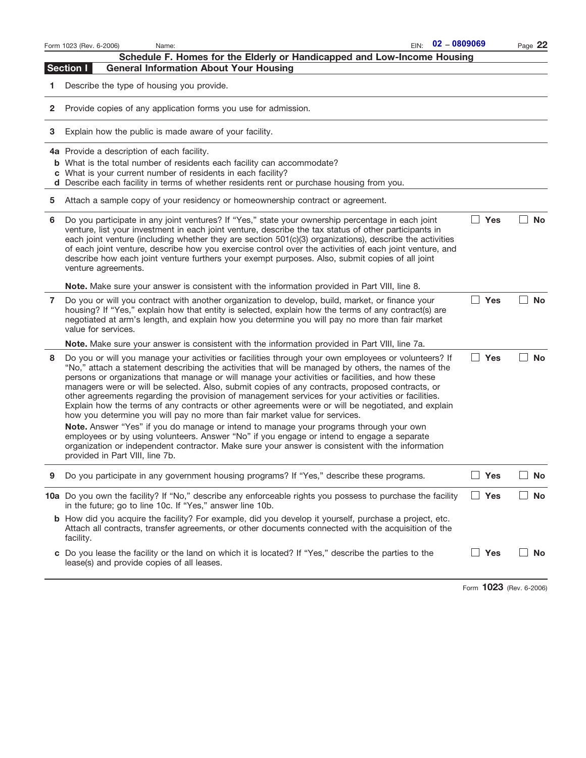|                | $02 - 0809069$<br>EIN:<br>Form 1023 (Rev. 6-2006)<br>Name:                                                                                                                                                                                                                                                                                                                                                                                                                                                                                                                                                                                                                                                                                                                                              |            | Page 22      |
|----------------|---------------------------------------------------------------------------------------------------------------------------------------------------------------------------------------------------------------------------------------------------------------------------------------------------------------------------------------------------------------------------------------------------------------------------------------------------------------------------------------------------------------------------------------------------------------------------------------------------------------------------------------------------------------------------------------------------------------------------------------------------------------------------------------------------------|------------|--------------|
|                | Schedule F. Homes for the Elderly or Handicapped and Low-Income Housing                                                                                                                                                                                                                                                                                                                                                                                                                                                                                                                                                                                                                                                                                                                                 |            |              |
|                | <b>Section I</b><br><b>General Information About Your Housing</b>                                                                                                                                                                                                                                                                                                                                                                                                                                                                                                                                                                                                                                                                                                                                       |            |              |
| 1.             | Describe the type of housing you provide.                                                                                                                                                                                                                                                                                                                                                                                                                                                                                                                                                                                                                                                                                                                                                               |            |              |
| 2              | Provide copies of any application forms you use for admission.                                                                                                                                                                                                                                                                                                                                                                                                                                                                                                                                                                                                                                                                                                                                          |            |              |
| 3              | Explain how the public is made aware of your facility.                                                                                                                                                                                                                                                                                                                                                                                                                                                                                                                                                                                                                                                                                                                                                  |            |              |
|                | 4a Provide a description of each facility.<br><b>b</b> What is the total number of residents each facility can accommodate?<br>c What is your current number of residents in each facility?<br>d Describe each facility in terms of whether residents rent or purchase housing from you.                                                                                                                                                                                                                                                                                                                                                                                                                                                                                                                |            |              |
| 5              | Attach a sample copy of your residency or homeownership contract or agreement.                                                                                                                                                                                                                                                                                                                                                                                                                                                                                                                                                                                                                                                                                                                          |            |              |
| 6              | Do you participate in any joint ventures? If "Yes," state your ownership percentage in each joint<br>venture, list your investment in each joint venture, describe the tax status of other participants in<br>each joint venture (including whether they are section 501(c)(3) organizations), describe the activities<br>of each joint venture, describe how you exercise control over the activities of each joint venture, and<br>describe how each joint venture furthers your exempt purposes. Also, submit copies of all joint<br>venture agreements.                                                                                                                                                                                                                                             | $\Box$ Yes | <b>No</b>    |
|                | Note. Make sure your answer is consistent with the information provided in Part VIII, line 8.                                                                                                                                                                                                                                                                                                                                                                                                                                                                                                                                                                                                                                                                                                           |            |              |
| $\overline{7}$ | Do you or will you contract with another organization to develop, build, market, or finance your<br>housing? If "Yes," explain how that entity is selected, explain how the terms of any contract(s) are<br>negotiated at arm's length, and explain how you determine you will pay no more than fair market<br>value for services.                                                                                                                                                                                                                                                                                                                                                                                                                                                                      | $\Box$ Yes | <b>No</b>    |
|                | Note. Make sure your answer is consistent with the information provided in Part VIII, line 7a.                                                                                                                                                                                                                                                                                                                                                                                                                                                                                                                                                                                                                                                                                                          |            |              |
| 8              | Do you or will you manage your activities or facilities through your own employees or volunteers? If<br>"No," attach a statement describing the activities that will be managed by others, the names of the<br>persons or organizations that manage or will manage your activities or facilities, and how these<br>managers were or will be selected. Also, submit copies of any contracts, proposed contracts, or<br>other agreements regarding the provision of management services for your activities or facilities.<br>Explain how the terms of any contracts or other agreements were or will be negotiated, and explain<br>how you determine you will pay no more than fair market value for services.<br>Note. Answer "Yes" if you do manage or intend to manage your programs through your own | $\Box$ Yes | <b>No</b>    |
|                | employees or by using volunteers. Answer "No" if you engage or intend to engage a separate<br>organization or independent contractor. Make sure your answer is consistent with the information<br>provided in Part VIII, line 7b.                                                                                                                                                                                                                                                                                                                                                                                                                                                                                                                                                                       |            |              |
| 9              | Do you participate in any government housing programs? If "Yes," describe these programs.                                                                                                                                                                                                                                                                                                                                                                                                                                                                                                                                                                                                                                                                                                               | Yes        | <b>No</b>    |
|                | 10a Do you own the facility? If "No," describe any enforceable rights you possess to purchase the facility<br>in the future; go to line 10c. If "Yes," answer line 10b.                                                                                                                                                                                                                                                                                                                                                                                                                                                                                                                                                                                                                                 | $\Box$ Yes | No<br>$\Box$ |
|                | <b>b</b> How did you acquire the facility? For example, did you develop it yourself, purchase a project, etc.<br>Attach all contracts, transfer agreements, or other documents connected with the acquisition of the<br>facility.                                                                                                                                                                                                                                                                                                                                                                                                                                                                                                                                                                       |            |              |
|                | c Do you lease the facility or the land on which it is located? If "Yes," describe the parties to the<br>lease(s) and provide copies of all leases.                                                                                                                                                                                                                                                                                                                                                                                                                                                                                                                                                                                                                                                     | $\Box$ Yes | <b>No</b>    |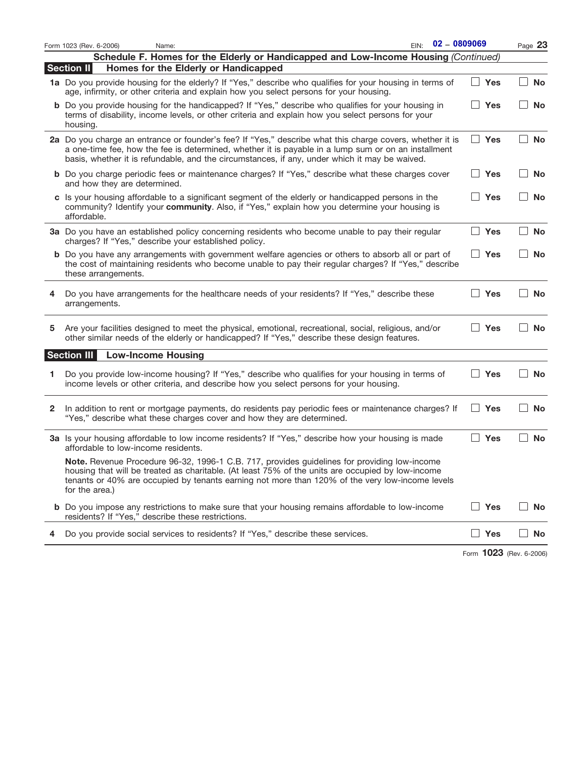|              | Form 1023 (Rev. 6-2006)<br>Name:                                                                                                                                                                                                                                                                                       | $02 - 0809069$<br>EIN: |                    | Page 23             |
|--------------|------------------------------------------------------------------------------------------------------------------------------------------------------------------------------------------------------------------------------------------------------------------------------------------------------------------------|------------------------|--------------------|---------------------|
|              | Schedule F. Homes for the Elderly or Handicapped and Low-Income Housing (Continued)                                                                                                                                                                                                                                    |                        |                    |                     |
|              | <b>Section II</b><br>Homes for the Elderly or Handicapped                                                                                                                                                                                                                                                              |                        |                    |                     |
|              | 1a Do you provide housing for the elderly? If "Yes," describe who qualifies for your housing in terms of<br>age, infirmity, or other criteria and explain how you select persons for your housing.                                                                                                                     |                        | $\Box$ Yes         | <b>No</b>           |
|              | <b>b</b> Do you provide housing for the handicapped? If "Yes," describe who qualifies for your housing in<br>terms of disability, income levels, or other criteria and explain how you select persons for your<br>housing.                                                                                             |                        | Yes                | <b>No</b>           |
|              | 2a Do you charge an entrance or founder's fee? If "Yes," describe what this charge covers, whether it is<br>a one-time fee, how the fee is determined, whether it is payable in a lump sum or on an installment<br>basis, whether it is refundable, and the circumstances, if any, under which it may be waived.       |                        | $\Box$ Yes         | <b>No</b><br>$\Box$ |
|              | <b>b</b> Do you charge periodic fees or maintenance charges? If "Yes," describe what these charges cover<br>and how they are determined.                                                                                                                                                                               |                        | $\blacksquare$ Yes | <b>No</b>           |
|              | c Is your housing affordable to a significant segment of the elderly or handicapped persons in the<br>community? Identify your community. Also, if "Yes," explain how you determine your housing is<br>affordable.                                                                                                     |                        | Yes                | <b>No</b>           |
|              | 3a Do you have an established policy concerning residents who become unable to pay their regular<br>charges? If "Yes," describe your established policy.                                                                                                                                                               |                        | <b>Yes</b>         | <b>No</b>           |
|              | <b>b</b> Do you have any arrangements with government welfare agencies or others to absorb all or part of<br>the cost of maintaining residents who become unable to pay their regular charges? If "Yes," describe<br>these arrangements.                                                                               |                        | $\blacksquare$ Yes | No                  |
| 4            | Do you have arrangements for the healthcare needs of your residents? If "Yes," describe these<br>arrangements.                                                                                                                                                                                                         |                        | Yes                | No                  |
| 5            | Are your facilities designed to meet the physical, emotional, recreational, social, religious, and/or<br>other similar needs of the elderly or handicapped? If "Yes," describe these design features.                                                                                                                  |                        | Yes                | No                  |
|              | <b>Section III</b><br><b>Low-Income Housing</b>                                                                                                                                                                                                                                                                        |                        |                    |                     |
| 1.           | Do you provide low-income housing? If "Yes," describe who qualifies for your housing in terms of<br>income levels or other criteria, and describe how you select persons for your housing.                                                                                                                             |                        | Yes                | No                  |
| $\mathbf{2}$ | In addition to rent or mortgage payments, do residents pay periodic fees or maintenance charges? If<br>"Yes," describe what these charges cover and how they are determined.                                                                                                                                           |                        | Yes                | No                  |
|              | 3a Is your housing affordable to low income residents? If "Yes," describe how your housing is made<br>affordable to low-income residents.                                                                                                                                                                              |                        | Yes                | <b>No</b>           |
|              | Note. Revenue Procedure 96-32, 1996-1 C.B. 717, provides guidelines for providing low-income<br>housing that will be treated as charitable. (At least 75% of the units are occupied by low-income<br>tenants or 40% are occupied by tenants earning not more than 120% of the very low-income levels<br>for the area.) |                        |                    |                     |
|              | <b>b</b> Do you impose any restrictions to make sure that your housing remains affordable to low-income<br>residents? If "Yes," describe these restrictions.                                                                                                                                                           |                        | ⊿ Yes              | <b>No</b>           |
| 4            | Do you provide social services to residents? If "Yes," describe these services.                                                                                                                                                                                                                                        |                        | $\Box$ Yes         | No<br>$\Box$        |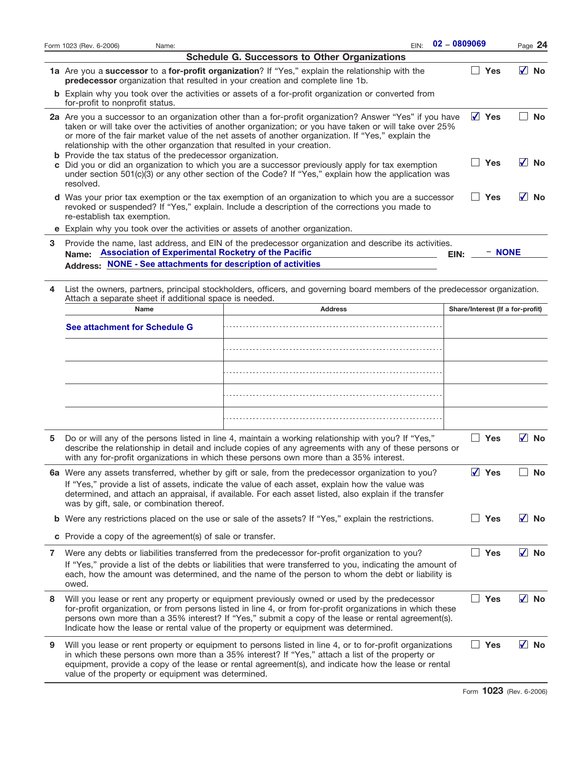|   | EIN:<br>Form 1023 (Rev. 6-2006)<br>Name:                                                                                                                                                                                                                                                                                                                                                                                                                                | $02 - 0809069$ |                | Page 24                             |  |  |
|---|-------------------------------------------------------------------------------------------------------------------------------------------------------------------------------------------------------------------------------------------------------------------------------------------------------------------------------------------------------------------------------------------------------------------------------------------------------------------------|----------------|----------------|-------------------------------------|--|--|
|   | <b>Schedule G. Successors to Other Organizations</b>                                                                                                                                                                                                                                                                                                                                                                                                                    |                |                |                                     |  |  |
|   | <b>1a</b> Are you a <b>successor</b> to a <b>for-profit organization</b> ? If "Yes," explain the relationship with the<br><b>predecessor</b> organization that resulted in your creation and complete line 1b.                                                                                                                                                                                                                                                          |                | <b>Yes</b>     | $\sqrt{}$<br>No                     |  |  |
|   | <b>b</b> Explain why you took over the activities or assets of a for-profit organization or converted from<br>for-profit to nonprofit status.                                                                                                                                                                                                                                                                                                                           |                |                |                                     |  |  |
|   | 2a Are you a successor to an organization other than a for-profit organization? Answer "Yes" if you have<br>taken or will take over the activities of another organization; or you have taken or will take over 25%<br>or more of the fair market value of the net assets of another organization. If "Yes," explain the<br>relationship with the other organzation that resulted in your creation.<br><b>b</b> Provide the tax status of the predecessor organization. |                | $\sqrt{ }$ Yes | <b>No</b><br>$\sqrt{}$<br><b>No</b> |  |  |
|   | c Did you or did an organization to which you are a successor previously apply for tax exemption<br>under section 501(c)(3) or any other section of the Code? If "Yes," explain how the application was<br>resolved.                                                                                                                                                                                                                                                    |                | Yes            |                                     |  |  |
|   | d Was your prior tax exemption or the tax exemption of an organization to which you are a successor<br>revoked or suspended? If "Yes," explain. Include a description of the corrections you made to<br>re-establish tax exemption.                                                                                                                                                                                                                                     |                | <b>Yes</b>     | $\sqrt{}$<br>No                     |  |  |
|   | e Explain why you took over the activities or assets of another organization.                                                                                                                                                                                                                                                                                                                                                                                           |                |                |                                     |  |  |
| 3 | Provide the name, last address, and EIN of the predecessor organization and describe its activities.<br><b>Association of Experimental Rocketry of the Pacific</b><br>Name:<br>Address: NONE - See attachments for description of activities                                                                                                                                                                                                                            | EIN:           |                | <b>NONE</b>                         |  |  |
|   |                                                                                                                                                                                                                                                                                                                                                                                                                                                                         |                |                |                                     |  |  |

**4** List the owners, partners, principal stockholders, officers, and governing board members of the predecessor organization. Attach a separate sheet if additional space is needed.

|              | Name                                                      | <b>Address</b>                                                                                                                                                                                                                                                                                                                                                                                          | Share/Interest (If a for-profit) |               |
|--------------|-----------------------------------------------------------|---------------------------------------------------------------------------------------------------------------------------------------------------------------------------------------------------------------------------------------------------------------------------------------------------------------------------------------------------------------------------------------------------------|----------------------------------|---------------|
|              | See attachment for Schedule G                             |                                                                                                                                                                                                                                                                                                                                                                                                         |                                  |               |
|              |                                                           |                                                                                                                                                                                                                                                                                                                                                                                                         |                                  |               |
|              |                                                           |                                                                                                                                                                                                                                                                                                                                                                                                         |                                  |               |
|              |                                                           |                                                                                                                                                                                                                                                                                                                                                                                                         |                                  |               |
|              |                                                           |                                                                                                                                                                                                                                                                                                                                                                                                         |                                  |               |
| 5            |                                                           | Do or will any of the persons listed in line 4, maintain a working relationship with you? If "Yes,"<br>describe the relationship in detail and include copies of any agreements with any of these persons or<br>with any for-profit organizations in which these persons own more than a 35% interest.                                                                                                  | $\Box$ Yes                       | $\sqrt{ }$ No |
|              | was by gift, sale, or combination thereof.                | 6a Were any assets transferred, whether by gift or sale, from the predecessor organization to you?<br>If "Yes," provide a list of assets, indicate the value of each asset, explain how the value was<br>determined, and attach an appraisal, if available. For each asset listed, also explain if the transfer                                                                                         | $\sqrt{ }$ Yes                   | <b>No</b>     |
|              |                                                           | <b>b</b> Were any restrictions placed on the use or sale of the assets? If "Yes," explain the restrictions.                                                                                                                                                                                                                                                                                             | Yes                              | $\sqrt{ }$ No |
|              | c Provide a copy of the agreement(s) of sale or transfer. |                                                                                                                                                                                                                                                                                                                                                                                                         |                                  |               |
| $\mathbf{7}$ | owed.                                                     | Were any debts or liabilities transferred from the predecessor for-profit organization to you?<br>If "Yes," provide a list of the debts or liabilities that were transferred to you, indicating the amount of<br>each, how the amount was determined, and the name of the person to whom the debt or liability is                                                                                       | <b>Yes</b>                       | $\sqrt{ }$ No |
| 8            |                                                           | Will you lease or rent any property or equipment previously owned or used by the predecessor<br>for-profit organization, or from persons listed in line 4, or from for-profit organizations in which these<br>persons own more than a 35% interest? If "Yes," submit a copy of the lease or rental agreement(s).<br>Indicate how the lease or rental value of the property or equipment was determined. | Yes                              | $\sqrt{ }$ No |
| 9            | value of the property or equipment was determined.        | Will you lease or rent property or equipment to persons listed in line 4, or to for-profit organizations<br>in which these persons own more than a 35% interest? If "Yes," attach a list of the property or<br>equipment, provide a copy of the lease or rental agreement(s), and indicate how the lease or rental                                                                                      | l Yes                            | $\sqrt{ }$ No |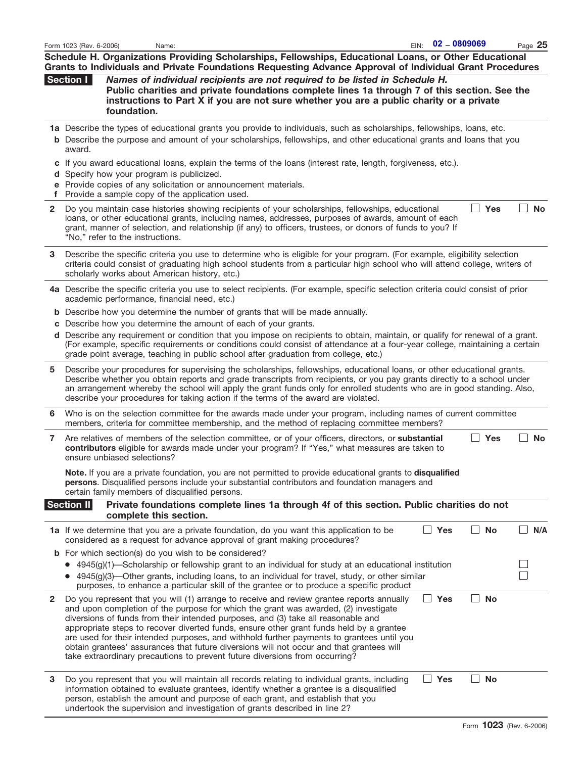|              |                   | Schedule H. Organizations Providing Scholarships, Fellowships, Educational Loans, or Other Educational<br>Grants to Individuals and Private Foundations Requesting Advance Approval of Individual Grant Procedures                                                                                                                                                                                                                                                                                                                                                                                                                       |            |            |     |
|--------------|-------------------|------------------------------------------------------------------------------------------------------------------------------------------------------------------------------------------------------------------------------------------------------------------------------------------------------------------------------------------------------------------------------------------------------------------------------------------------------------------------------------------------------------------------------------------------------------------------------------------------------------------------------------------|------------|------------|-----|
|              | Section I         | Names of individual recipients are not required to be listed in Schedule H.<br>Public charities and private foundations complete lines 1a through 7 of this section. See the<br>instructions to Part X if you are not sure whether you are a public charity or a private<br>foundation.                                                                                                                                                                                                                                                                                                                                                  |            |            |     |
|              | award.            | 1a Describe the types of educational grants you provide to individuals, such as scholarships, fellowships, loans, etc.<br><b>b</b> Describe the purpose and amount of your scholarships, fellowships, and other educational grants and loans that you                                                                                                                                                                                                                                                                                                                                                                                    |            |            |     |
|              |                   | c If you award educational loans, explain the terms of the loans (interest rate, length, forgiveness, etc.).<br>d Specify how your program is publicized.<br>e Provide copies of any solicitation or announcement materials.<br>f Provide a sample copy of the application used.                                                                                                                                                                                                                                                                                                                                                         |            |            |     |
| 2.           |                   | Do you maintain case histories showing recipients of your scholarships, fellowships, educational<br>loans, or other educational grants, including names, addresses, purposes of awards, amount of each<br>grant, manner of selection, and relationship (if any) to officers, trustees, or donors of funds to you? If<br>"No," refer to the instructions.                                                                                                                                                                                                                                                                                 |            | $\Box$ Yes | No  |
| 3            |                   | Describe the specific criteria you use to determine who is eligible for your program. (For example, eligibility selection<br>criteria could consist of graduating high school students from a particular high school who will attend college, writers of<br>scholarly works about American history, etc.)                                                                                                                                                                                                                                                                                                                                |            |            |     |
|              |                   | 4a Describe the specific criteria you use to select recipients. (For example, specific selection criteria could consist of prior<br>academic performance, financial need, etc.)                                                                                                                                                                                                                                                                                                                                                                                                                                                          |            |            |     |
|              |                   | <b>b</b> Describe how you determine the number of grants that will be made annually.                                                                                                                                                                                                                                                                                                                                                                                                                                                                                                                                                     |            |            |     |
|              |                   | c Describe how you determine the amount of each of your grants.                                                                                                                                                                                                                                                                                                                                                                                                                                                                                                                                                                          |            |            |     |
|              |                   | d Describe any requirement or condition that you impose on recipients to obtain, maintain, or qualify for renewal of a grant.<br>(For example, specific requirements or conditions could consist of attendance at a four-year college, maintaining a certain<br>grade point average, teaching in public school after graduation from college, etc.)                                                                                                                                                                                                                                                                                      |            |            |     |
| 5            |                   | Describe your procedures for supervising the scholarships, fellowships, educational loans, or other educational grants.<br>Describe whether you obtain reports and grade transcripts from recipients, or you pay grants directly to a school under<br>an arrangement whereby the school will apply the grant funds only for enrolled students who are in good standing. Also,<br>describe your procedures for taking action if the terms of the award are violated.                                                                                                                                                                      |            |            |     |
| 6            |                   | Who is on the selection committee for the awards made under your program, including names of current committee<br>members, criteria for committee membership, and the method of replacing committee members?                                                                                                                                                                                                                                                                                                                                                                                                                             |            |            |     |
| 7            |                   | Are relatives of members of the selection committee, or of your officers, directors, or substantial<br>contributors eligible for awards made under your program? If "Yes," what measures are taken to<br>ensure unbiased selections?                                                                                                                                                                                                                                                                                                                                                                                                     |            | $\Box$ Yes | No  |
|              |                   | Note. If you are a private foundation, you are not permitted to provide educational grants to disqualified<br>persons. Disqualified persons include your substantial contributors and foundation managers and<br>certain family members of disqualified persons.                                                                                                                                                                                                                                                                                                                                                                         |            |            |     |
|              | <b>Section II</b> | Private foundations complete lines 1a through 4f of this section. Public charities do not<br>complete this section.                                                                                                                                                                                                                                                                                                                                                                                                                                                                                                                      |            |            |     |
|              |                   | 1a If we determine that you are a private foundation, do you want this application to be<br>considered as a request for advance approval of grant making procedures?                                                                                                                                                                                                                                                                                                                                                                                                                                                                     | $\Box$ Yes | <b>No</b>  | N/A |
|              |                   | <b>b</b> For which section(s) do you wish to be considered?<br>4945(g)(1)—Scholarship or fellowship grant to an individual for study at an educational institution<br>• 4945(g)(3)—Other grants, including loans, to an individual for travel, study, or other similar<br>purposes, to enhance a particular skill of the grantee or to produce a specific product                                                                                                                                                                                                                                                                        |            |            |     |
| $\mathbf{2}$ |                   | Do you represent that you will (1) arrange to receive and review grantee reports annually<br>and upon completion of the purpose for which the grant was awarded, (2) investigate<br>diversions of funds from their intended purposes, and (3) take all reasonable and<br>appropriate steps to recover diverted funds, ensure other grant funds held by a grantee<br>are used for their intended purposes, and withhold further payments to grantees until you<br>obtain grantees' assurances that future diversions will not occur and that grantees will<br>take extraordinary precautions to prevent future diversions from occurring? | $\Box$ Yes | No         |     |
| 3            |                   | Do you represent that you will maintain all records relating to individual grants, including<br>information obtained to evaluate grantees, identify whether a grantee is a disqualified<br>person, establish the amount and purpose of each grant, and establish that you<br>undertook the supervision and investigation of grants described in line 2?                                                                                                                                                                                                                                                                                  | $\Box$ Yes | No         |     |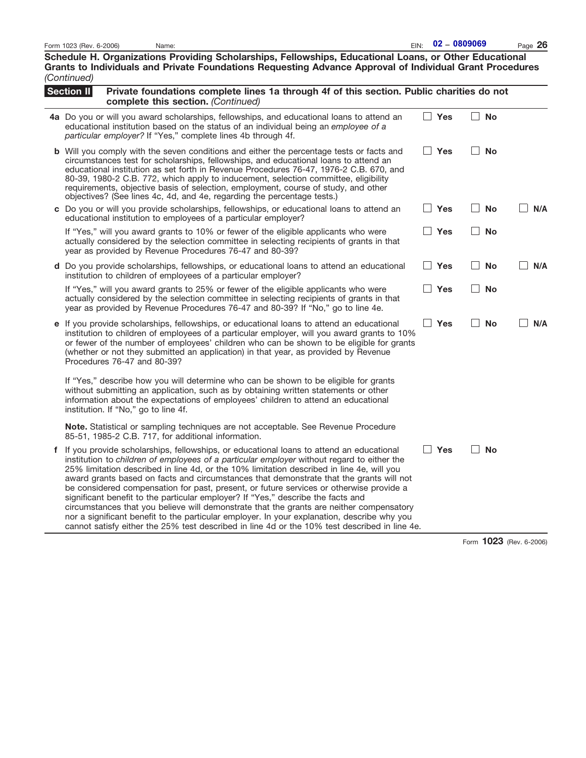| Form 1023 (Rev. 6-2006)<br>Name:                                                                                                                                                                                                                                                                                                                                                                                                                                                                                                          | EIN: |            | $02 - 0809069$ | Page $26$      |
|-------------------------------------------------------------------------------------------------------------------------------------------------------------------------------------------------------------------------------------------------------------------------------------------------------------------------------------------------------------------------------------------------------------------------------------------------------------------------------------------------------------------------------------------|------|------------|----------------|----------------|
| Schedule H. Organizations Providing Scholarships, Fellowships, Educational Loans, or Other Educational<br>Grants to Individuals and Private Foundations Requesting Advance Approval of Individual Grant Procedures<br>(Continued)                                                                                                                                                                                                                                                                                                         |      |            |                |                |
| <b>Section II</b><br>Private foundations complete lines 1a through 4f of this section. Public charities do not<br>complete this section. (Continued)                                                                                                                                                                                                                                                                                                                                                                                      |      |            |                |                |
| 4a Do you or will you award scholarships, fellowships, and educational loans to attend an<br>educational institution based on the status of an individual being an employee of a<br>particular employer? If "Yes," complete lines 4b through 4f.                                                                                                                                                                                                                                                                                          |      | <b>Nes</b> | $\Box$ No      |                |
| <b>b</b> Will you comply with the seven conditions and either the percentage tests or facts and<br>circumstances test for scholarships, fellowships, and educational loans to attend an<br>educational institution as set forth in Revenue Procedures 76-47, 1976-2 C.B. 670, and<br>80-39, 1980-2 C.B. 772, which apply to inducement, selection committee, eligibility<br>requirements, objective basis of selection, employment, course of study, and other<br>objectives? (See lines 4c, 4d, and 4e, regarding the percentage tests.) |      | $\Box$ Yes | No             |                |
| c Do you or will you provide scholarships, fellowships, or educational loans to attend an<br>educational institution to employees of a particular employer?                                                                                                                                                                                                                                                                                                                                                                               |      | $\Box$ Yes | ∣ ∣ No         | $\Box$ N/A     |
| If "Yes," will you award grants to 10% or fewer of the eligible applicants who were<br>actually considered by the selection committee in selecting recipients of grants in that<br>year as provided by Revenue Procedures 76-47 and 80-39?                                                                                                                                                                                                                                                                                                |      | $\Box$ Yes | l I No         |                |
| d Do you provide scholarships, fellowships, or educational loans to attend an educational<br>institution to children of employees of a particular employer?                                                                                                                                                                                                                                                                                                                                                                               |      | $\Box$ Yes | $\Box$ No      | $\perp$<br>N/A |
| If "Yes," will you award grants to 25% or fewer of the eligible applicants who were<br>actually considered by the selection committee in selecting recipients of grants in that<br>year as provided by Revenue Procedures 76-47 and 80-39? If "No," go to line 4e.                                                                                                                                                                                                                                                                        |      | $\Box$ Yes | ∣ ∣ No         |                |
| e If you provide scholarships, fellowships, or educational loans to attend an educational<br>institution to children of employees of a particular employer, will you award grants to 10%<br>or fewer of the number of employees' children who can be shown to be eligible for grants<br>(whether or not they submitted an application) in that year, as provided by Revenue<br>Procedures 76-47 and 80-39?                                                                                                                                |      | Yes        | l I No         | $\Box$ N/A     |
| If "Yes," describe how you will determine who can be shown to be eligible for grants<br>without submitting an application, such as by obtaining written statements or other<br>information about the expectations of employees' children to attend an educational<br>institution. If "No," go to line 4f.                                                                                                                                                                                                                                 |      |            |                |                |
| <b>Note.</b> Statistical or sampling techniques are not acceptable. See Revenue Procedure<br>85-51, 1985-2 C.B. 717, for additional information.                                                                                                                                                                                                                                                                                                                                                                                          |      |            |                |                |
| f If you provide scholarships, fellowships, or educational loans to attend an educational<br>institution to children of employees of a particular employer without regard to either the<br>25% limitation described in line 4d, or the 10% limitation described in line 4e, will you<br>award grants based on facts and circumstances that demonstrate that the grants will not<br>be considered compensation for past, present, or future services or otherwise provide a                                                                |      | Yes        | ∣ ∣ No         |                |

significant benefit to the particular employer? If "Yes," describe the facts and

circumstances that you believe will demonstrate that the grants are neither compensatory nor a significant benefit to the particular employer. In your explanation, describe why you cannot satisfy either the 25% test described in line 4d or the 10% test described in line 4e.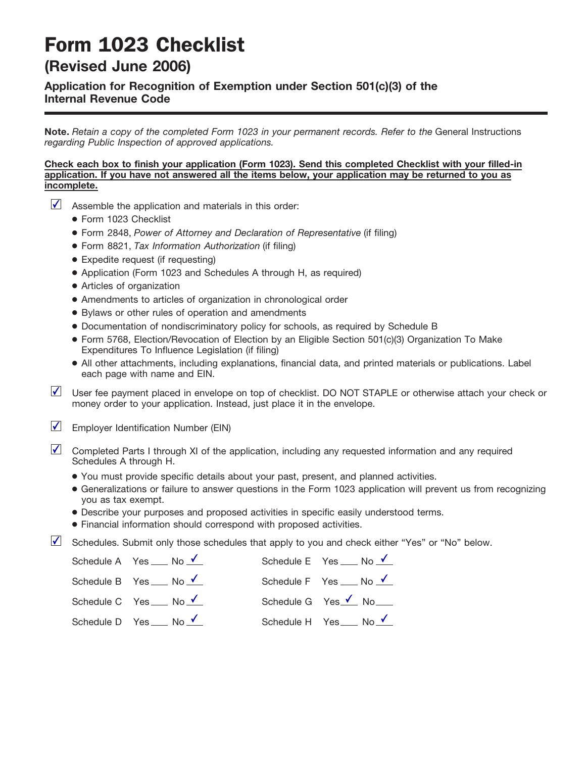# Form 1023 Checklist

## **(Revised June 2006)**

**Application for Recognition of Exemption under Section 501(c)(3) of the Internal Revenue Code**

**Note.** *Retain a copy of the completed Form 1023 in your permanent records. Refer to the* General Instructions *regarding Public Inspection of approved applications.*

**Check each box to finish your application (Form 1023). Send this completed Checklist with your filled-in application. If you have not answered all the items below, your application may be returned to you as incomplete.**

- $\blacktriangleright$  Assemble the application and materials in this order:
	- Form 1023 Checklist
	- Form 2848, *Power of Attorney and Declaration of Representative* (if filing)
	- Form 8821, *Tax Information Authorization* (if filing)
	- Expedite request (if requesting)
	- Application (Form 1023 and Schedules A through H, as required)
	- Articles of organization
	- Amendments to articles of organization in chronological order
	- Bylaws or other rules of operation and amendments
	- Documentation of nondiscriminatory policy for schools, as required by Schedule B
	- Form 5768, Election/Revocation of Election by an Eligible Section 501(c)(3) Organization To Make Expenditures To Influence Legislation (if filing)
	- All other attachments, including explanations, financial data, and printed materials or publications. Label each page with name and EIN.
- $\blacktriangledown$  User fee payment placed in envelope on top of checklist. DO NOT STAPLE or otherwise attach your check or money order to your application. Instead, just place it in the envelope.
- Employer Identification Number (EIN) ✔
- Completed Parts I through XI of the application, including any requested information and any required Schedules A through H. ✔
	- You must provide specific details about your past, present, and planned activities.
	- Generalizations or failure to answer questions in the Form 1023 application will prevent us from recognizing you as tax exempt.
	- Describe your purposes and proposed activities in specific easily understood terms.
	- Financial information should correspond with proposed activities.
- Schedules. Submit only those schedules that apply to you and check either "Yes" or "No" below.

| Schedule A Yes $\_\_\$ No $\checkmark$ | Schedule E $Yes$ No $\checkmark$     |
|----------------------------------------|--------------------------------------|
| Schedule B Yes $\_\_\$ No $\checkmark$ | Schedule F Yes $\_\$ No $\checkmark$ |
| Schedule C Yes ___ No <u>V</u>         | Schedule G Yes <u>V</u> No ____      |
| Schedule D Yes $\_\$ No $\checkmark$   | Schedule H $Yes$ No $\checkmark$     |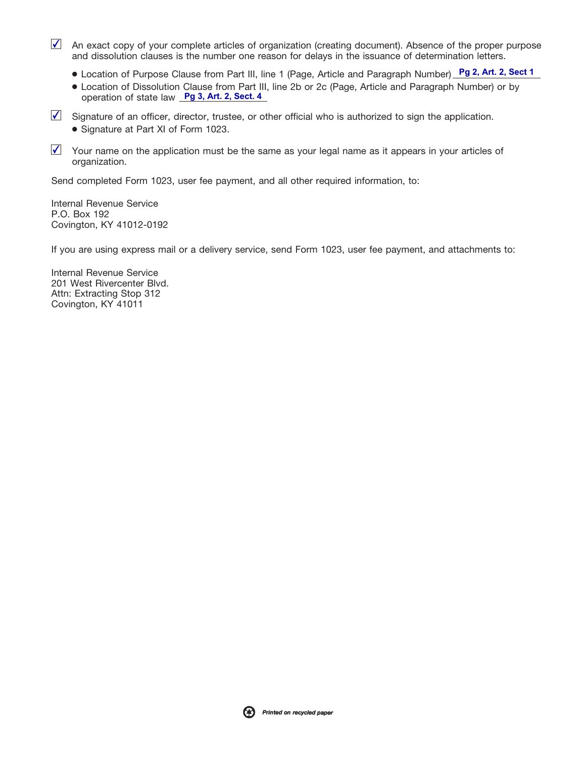- $\blacktriangledown$  An exact copy of your complete articles of organization (creating document). Absence of the proper purpose and dissolution clauses is the number one reason for delays in the issuance of determination letters.
	- Location of Purpose Clause from Part III, line 1 (Page, Article and Paragraph Number) Pg 2, Art. 2, Sect 1
	- Location of Dissolution Clause from Part III, line 2b or 2c (Page, Article and Paragraph Number) or by operation of state law **Pg 3, Art. 2, Sect. 4**

 $\blacktriangledown$  Signature of an officer, director, trustee, or other official who is authorized to sign the application. ● Signature at Part XI of Form 1023.

 $\blacktriangledown$  Your name on the application must be the same as your legal name as it appears in your articles of organization.

Send completed Form 1023, user fee payment, and all other required information, to:

Internal Revenue Service P.O. Box 192 Covington, KY 41012-0192

If you are using express mail or a delivery service, send Form 1023, user fee payment, and attachments to:

Internal Revenue Service 201 West Rivercenter Blvd. Attn: Extracting Stop 312 Covington, KY 41011

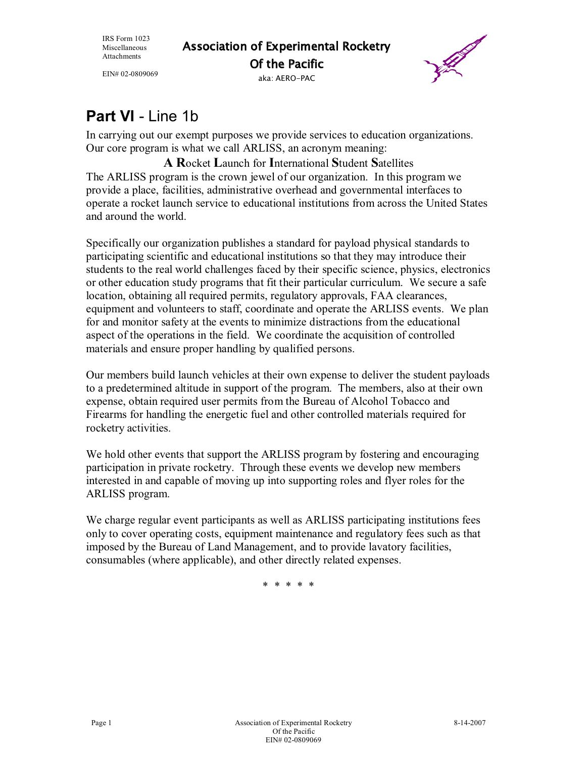Association of Experimental Rocketry

Of the Pacific aka: AERO-PAC

EIN# 02-0809069

# **Part VI** - Line 1b

In carrying out our exempt purposes we provide services to education organizations. Our core program is what we call ARLISS, an acronym meaning:

**A R**ocket **L**aunch for **I**nternational **S**tudent **S**atellites The ARLISS program is the crown jewel of our organization. In this program we provide a place, facilities, administrative overhead and governmental interfaces to operate a rocket launch service to educational institutions from across the United States and around the world.

Specifically our organization publishes a standard for payload physical standards to participating scientific and educational institutions so that they may introduce their students to the real world challenges faced by their specific science, physics, electronics or other education study programs that fit their particular curriculum. We secure a safe location, obtaining all required permits, regulatory approvals, FAA clearances, equipment and volunteers to staff, coordinate and operate the ARLISS events. We plan for and monitor safety at the events to minimize distractions from the educational aspect of the operations in the field. We coordinate the acquisition of controlled materials and ensure proper handling by qualified persons.

Our members build launch vehicles at their own expense to deliver the student payloads to a predetermined altitude in support of the program. The members, also at their own expense, obtain required user permits from the Bureau of Alcohol Tobacco and Firearms for handling the energetic fuel and other controlled materials required for rocketry activities.

We hold other events that support the ARLISS program by fostering and encouraging participation in private rocketry. Through these events we develop new members interested in and capable of moving up into supporting roles and flyer roles for the ARLISS program.

We charge regular event participants as well as ARLISS participating institutions fees only to cover operating costs, equipment maintenance and regulatory fees such as that imposed by the Bureau of Land Management, and to provide lavatory facilities, consumables (where applicable), and other directly related expenses.

\* \* \* \* \*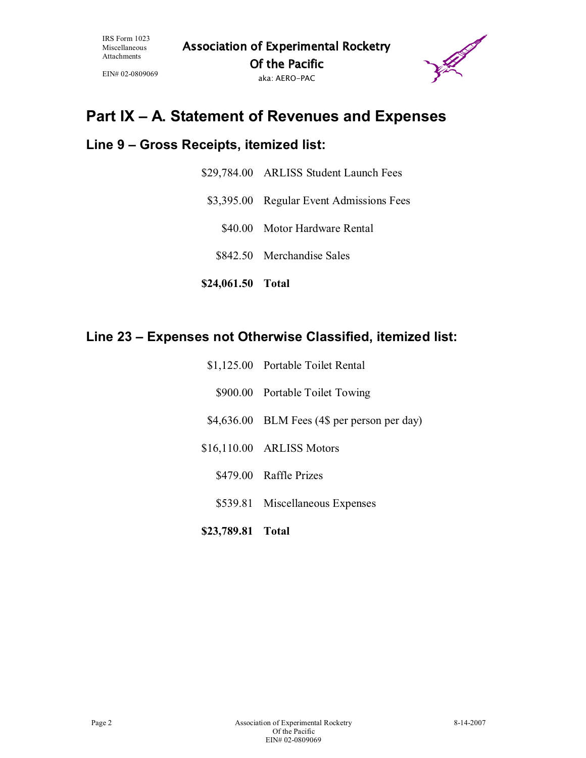Association of Experimental Rocketry

EIN# 02-0809069

Of the Pacific aka: AERO-PAC



### **Part IX – A. Statement of Revenues and Expenses**

### **Line 9 – Gross Receipts, itemized list:**

- \$29,784.00 ARLISS Student Launch Fees
	- \$3,395.00 Regular Event Admissions Fees
		- \$40.00 Motor Hardware Rental
		- \$842.50 Merchandise Sales
- **\$24,061.50 Total**

#### **Line 23 – Expenses not Otherwise Classified, itemized list:**

- \$1,125.00 Portable Toilet Rental
- \$900.00 Portable Toilet Towing
- \$4,636.00 BLM Fees (4\$ per person per day)
- \$16,110.00 ARLISS Motors
	- \$479.00 Raffle Prizes
	- \$539.81 Miscellaneous Expenses
- **\$23,789.81 Total**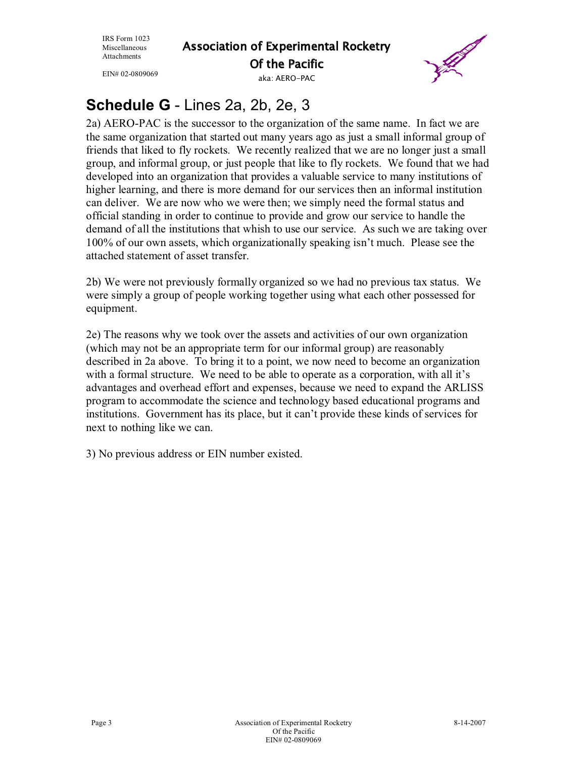Association of Experimental Rocketry

aka: AERO-PAC

Of the Pacific

EIN# 02-0809069

# **Schedule G** - Lines 2a, 2b, 2e, 3

2a) AERO-PAC is the successor to the organization of the same name. In fact we are the same organization that started out many years ago as just a small informal group of friends that liked to fly rockets. We recently realized that we are no longer just a small group, and informal group, or just people that like to fly rockets. We found that we had developed into an organization that provides a valuable service to many institutions of higher learning, and there is more demand for our services then an informal institution can deliver. We are now who we were then; we simply need the formal status and official standing in order to continue to provide and grow our service to handle the demand of all the institutions that whish to use our service. As such we are taking over 100% of our own assets, which organizationally speaking isn't much. Please see the attached statement of asset transfer.

2b) We were not previously formally organized so we had no previous tax status. We were simply a group of people working together using what each other possessed for equipment.

2e) The reasons why we took over the assets and activities of our own organization (which may not be an appropriate term for our informal group) are reasonably described in 2a above. To bring it to a point, we now need to become an organization with a formal structure. We need to be able to operate as a corporation, with all it's advantages and overhead effort and expenses, because we need to expand the ARLISS program to accommodate the science and technology based educational programs and institutions. Government has its place, but it can't provide these kinds of services for next to nothing like we can.

3) No previous address or EIN number existed.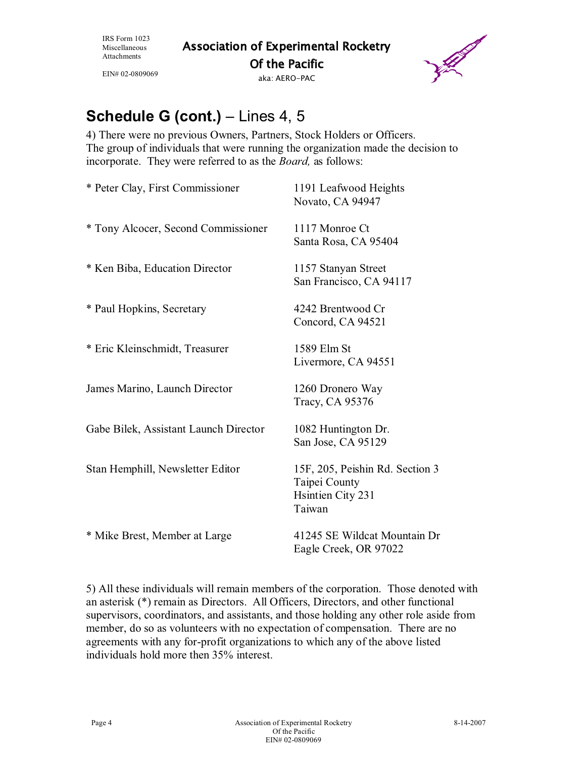Association of Experimental Rocketry

Of the Pacific

EIN# 02-0809069

aka: AERO-PAC



## **Schedule G (cont.)** – Lines 4, 5

4) There were no previous Owners, Partners, Stock Holders or Officers. The group of individuals that were running the organization made the decision to incorporate. They were referred to as the *Board,* as follows:

| * Peter Clay, First Commissioner      | 1191 Leafwood Heights<br>Novato, CA 94947                                       |
|---------------------------------------|---------------------------------------------------------------------------------|
| * Tony Alcocer, Second Commissioner   | 1117 Monroe Ct<br>Santa Rosa, CA 95404                                          |
| * Ken Biba, Education Director        | 1157 Stanyan Street<br>San Francisco, CA 94117                                  |
| * Paul Hopkins, Secretary             | 4242 Brentwood Cr<br>Concord, CA 94521                                          |
| * Eric Kleinschmidt, Treasurer        | 1589 Elm St<br>Livermore, CA 94551                                              |
| James Marino, Launch Director         | 1260 Dronero Way<br>Tracy, CA 95376                                             |
| Gabe Bilek, Assistant Launch Director | 1082 Huntington Dr.<br>San Jose, CA 95129                                       |
| Stan Hemphill, Newsletter Editor      | 15F, 205, Peishin Rd. Section 3<br>Taipei County<br>Hsintien City 231<br>Taiwan |
| * Mike Brest, Member at Large         | 41245 SE Wildcat Mountain Dr<br>Eagle Creek, OR 97022                           |

5) All these individuals will remain members of the corporation. Those denoted with an asterisk (\*) remain as Directors. All Officers, Directors, and other functional supervisors, coordinators, and assistants, and those holding any other role aside from member, do so as volunteers with no expectation of compensation. There are no agreements with any for-profit organizations to which any of the above listed individuals hold more then 35% interest.